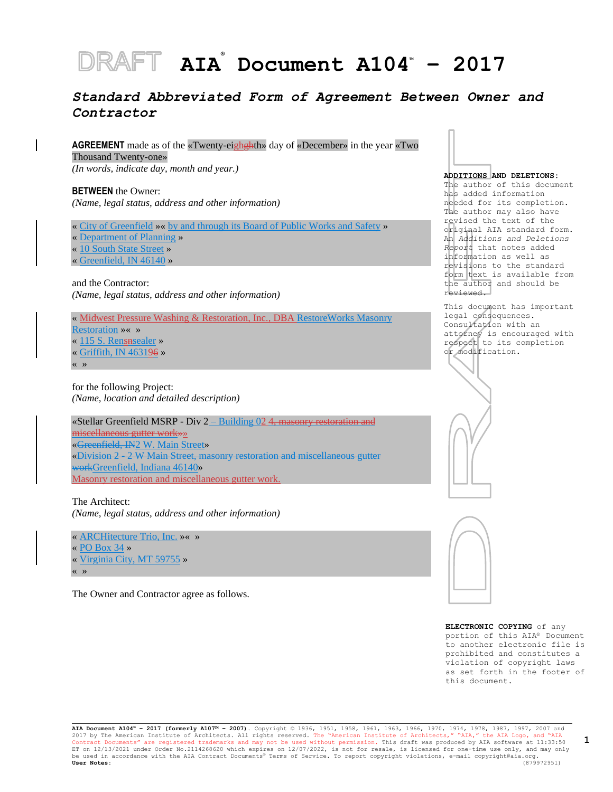# **AIA ® Document A104™ – 2017**

# *Standard Abbreviated Form of Agreement Between Owner and Contractor*

**AGREEMENT** made as of the «Twenty-eighehth» day of «December» in the year «Two Thousand Twenty-one»

*(In words, indicate day, month and year.)*

**BETWEEN** the Owner: *(Name, legal status, address and other information)*

« City of Greenfield »« by and through its Board of Public Works and Safety »

« Department of Planning »

« 10 South State Street »

« Greenfield, IN 46140 »

and the Contractor: *(Name, legal status, address and other information)*

« Midwest Pressure Washing & Restoration, Inc., DBA RestoreWorks Masonry Restoration »« » « 115 S. Rensesealer » « Griffith, IN 463196 » « »

for the following Project: *(Name, location and detailed description)*

«Stellar Greenfield MSRP -  $Div 2 - Building 024$ , masonry restoration and miscellaneous gutter work»» «Greenfield, IN2 W. Main Street» «Division 2 - 2 W Main Street, masonry restoration and miscellaneous gutter workGreenfield, Indiana 46140» Masonry restoration and miscellaneous gutter work.

The Architect: *(Name, legal status, address and other information)*

« ARCHitecture Trio, Inc. »« » « PO Box 34 » « Virginia City, MT 59755 » « »

The Owner and Contractor agree as follows.

#### **ADDITIONS AND DELETIONS:**

The author of this document has added information needed for its completion. The author may also have revised the text of the original AIA standard form. An *Additions and Deletions Report* that notes added information as well as revisions to the standard form text is available from the author and should be reviewed.

This document has important legal consequences. Consultation with an attorney is encouraged with respect to its completion or modification.



**ELECTRONIC COPYING** of any portion of this AIA® Document to another electronic file is prohibited and constitutes a violation of copyright laws as set forth in the footer of this document.

**1**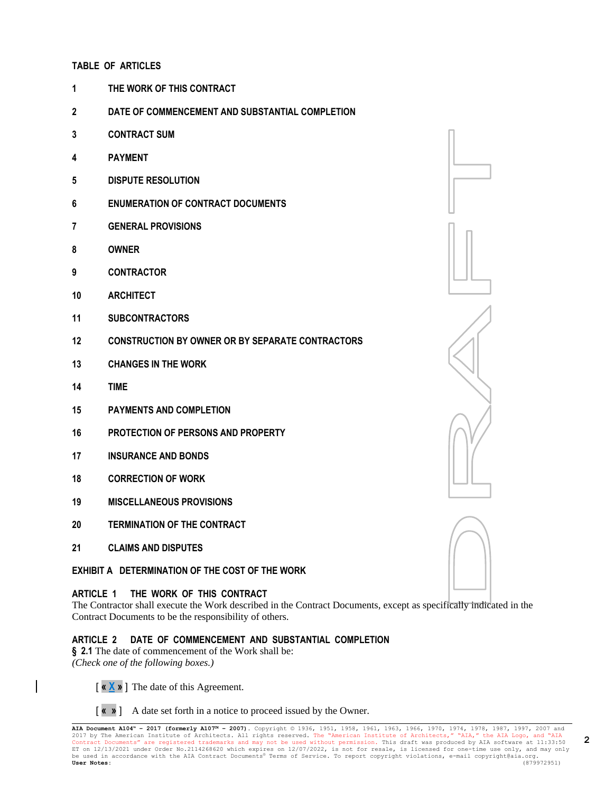#### **TABLE OF ARTICLES**

- **THE WORK OF THIS CONTRACT**
- **DATE OF COMMENCEMENT AND SUBSTANTIAL COMPLETION**
- **CONTRACT SUM**
- **PAYMENT**
- **DISPUTE RESOLUTION**
- **ENUMERATION OF CONTRACT DOCUMENTS**
- **GENERAL PROVISIONS**
- **OWNER**
- **CONTRACTOR**
- **ARCHITECT**
- **SUBCONTRACTORS**
- **CONSTRUCTION BY OWNER OR BY SEPARATE CONTRACTORS**
- **CHANGES IN THE WORK**
- **TIME**
- **PAYMENTS AND COMPLETION**
- **PROTECTION OF PERSONS AND PROPERTY**
- **INSURANCE AND BONDS**
- **CORRECTION OF WORK**
- **MISCELLANEOUS PROVISIONS**
- **TERMINATION OF THE CONTRACT**
- **CLAIMS AND DISPUTES**

# **EXHIBIT A DETERMINATION OF THE COST OF THE WORK**

# **ARTICLE 1 THE WORK OF THIS CONTRACT**

The Contractor shall execute the Work described in the Contract Documents, except as specifically indicated in the Contract Documents to be the responsibility of others.

# **ARTICLE 2 DATE OF COMMENCEMENT AND SUBSTANTIAL COMPLETION**

**§ 2.1** The date of commencement of the Work shall be: *(Check one of the following boxes.)*



[ **« »** ] A date set forth in a notice to proceed issued by the Owner.



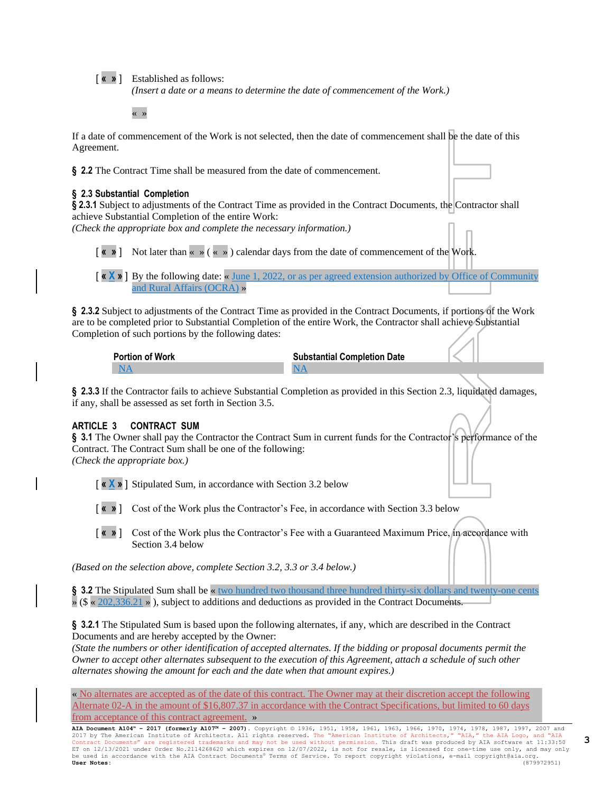[ **« »** ] Established as follows:

*(Insert a date or a means to determine the date of commencement of the Work.)*

« »

If a date of commencement of the Work is not selected, then the date of commencement shall be the date of this Agreement.

**§ 2.2** The Contract Time shall be measured from the date of commencement.

#### **§ 2.3 Substantial Completion**

**§ 2.3.1** Subject to adjustments of the Contract Time as provided in the Contract Documents, the Contractor shall achieve Substantial Completion of the entire Work:

*(Check the appropriate box and complete the necessary information.)*

[ **« »** ] Not later than « » ( « » ) calendar days from the date of commencement of the Work.

[ **« X »** ] By the following date: « June 1, 2022, or as per agreed extension authorized by Office of Community and Rural Affairs (OCRA) »

**§ 2.3.2** Subject to adjustments of the Contract Time as provided in the Contract Documents, if portions of the Work are to be completed prior to Substantial Completion of the entire Work, the Contractor shall achieve Substantial Completion of such portions by the following dates:

| <b>Portion of Work</b> | <b>Substantial Completion Date</b> |
|------------------------|------------------------------------|
|                        |                                    |

**§ 2.3.3** If the Contractor fails to achieve Substantial Completion as provided in this Section 2.3, liquidated damages, if any, shall be assessed as set forth in Section 3.5.

#### **ARTICLE 3 CONTRACT SUM**

**§ 3.1** The Owner shall pay the Contractor the Contract Sum in current funds for the Contractor's performance of the Contract. The Contract Sum shall be one of the following: *(Check the appropriate box.)*

[ **« X »** ] Stipulated Sum, in accordance with Section 3.2 below

[ **« »** ] Cost of the Work plus the Contractor's Fee, in accordance with Section 3.3 below

[ **« »** ] Cost of the Work plus the Contractor's Fee with a Guaranteed Maximum Price, in accordance with Section 3.4 below

*(Based on the selection above, complete Section 3.2, 3.3 or 3.4 below.)*

**§ 3.2** The Stipulated Sum shall be « two hundred two thousand three hundred thirty-six dollars and twenty-one cents » (\$ « 202,336.21 » ), subject to additions and deductions as provided in the Contract Documents.

**§ 3.2.1** The Stipulated Sum is based upon the following alternates, if any, which are described in the Contract Documents and are hereby accepted by the Owner:

*(State the numbers or other identification of accepted alternates. If the bidding or proposal documents permit the Owner to accept other alternates subsequent to the execution of this Agreement, attach a schedule of such other alternates showing the amount for each and the date when that amount expires.)*

« No alternates are accepted as of the date of this contract. The Owner may at their discretion accept the following Alternate 02-A in the amount of \$16,807.37 in accordance with the Contract Specifications, but limited to 60 days from acceptance of this contract agreement. »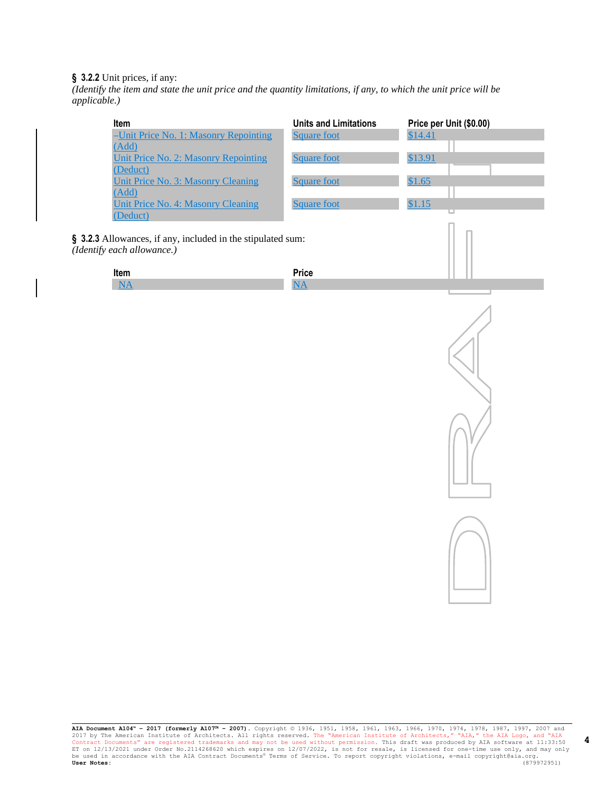# **§ 3.2.2** Unit prices, if any:

*(Identify the item and state the unit price and the quantity limitations, if any, to which the unit price will be applicable.)*

| <b>Item</b>                                         | <b>Units and Limitations</b> | Price per Unit (\$0.00) |
|-----------------------------------------------------|------------------------------|-------------------------|
| -Unit Price No. 1: Masonry Repointing               | <b>Square foot</b>           | \$14.41                 |
| (Add)                                               |                              |                         |
| Unit Price No. 2: Masonry Repointing                | <b>Square foot</b>           | \$13.91                 |
| (Deduct)                                            |                              |                         |
| <b>Unit Price No. 3: Masonry Cleaning</b>           | <b>Square foot</b>           | \$1.65                  |
| (Add)                                               |                              |                         |
| Unit Price No. 4: Masonry Cleaning                  | <b>Square foot</b>           | \$1.15                  |
| (Deduct)                                            |                              |                         |
|                                                     |                              |                         |
| Allowances, if any, included in the stipulated sum: |                              |                         |

**§ 3.2.3** Allowances, if any, included in the stipulated sum: *(Identify each allowance.)*

| Item | n<br>rice |  |
|------|-----------|--|
|      |           |  |



AIA Document A104" - 2017 (formerly A107" - 2007). Copyright © 1936, 1951, 1958, 1961, 1963, 1966, 1970, 1974, 1978, 1987, 1997, 2007 and<br>2017 by The American Institute of Architects. All rights reserved. The "American Ins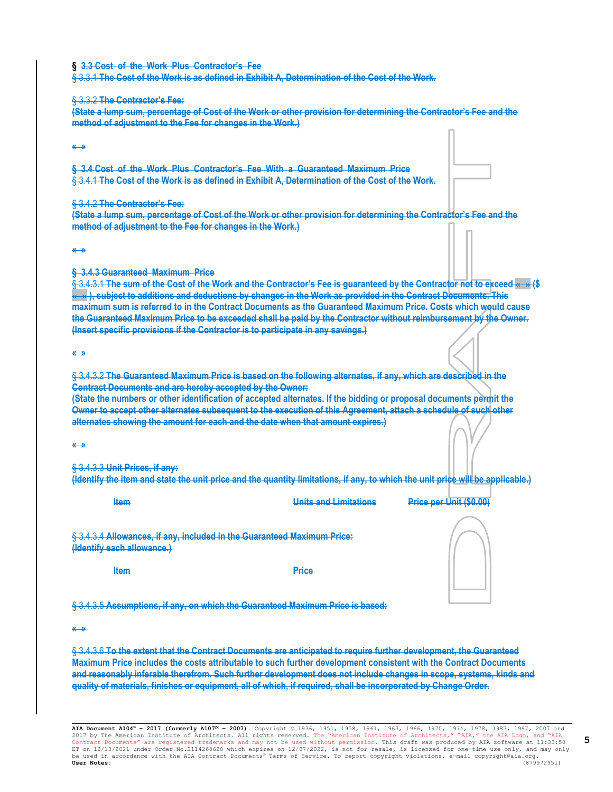**§ 3.3 Cost of the Work Plus Contractor's Fee**

§ 3.3.1 **The Cost of the Work is as defined in Exhibit A, Determination of the Cost of the Work.**

#### § 3.3.2 **The Contractor's Fee:**

**(State a lump sum, percentage of Cost of the Work or other provision for determining the Contractor's Fee and the method of adjustment to the Fee for changes in the Work.)**

**« »**

**§ 3.4 Cost of the Work Plus Contractor's Fee With a Guaranteed Maximum Price** § 3.4.1 **The Cost of the Work is as defined in Exhibit A, Determination of the Cost of the Work.**

#### § 3.4.2 **The Contractor's Fee:**

**(State a lump sum, percentage of Cost of the Work or other provision for determining the Contractor's Fee and the method of adjustment to the Fee for changes in the Work.)**

#### **« »**

# **§ 3.4.3 Guaranteed Maximum Price**

§ 3.4.3.1 **The sum of the Cost of the Work and the Contractor's Fee is guaranteed by the Contractor not to exceed « » (\$ « » ), subject to additions and deductions by changes in the Work as provided in the Contract Documents. This maximum sum is referred to in the Contract Documents as the Guaranteed Maximum Price. Costs which would cause the Guaranteed Maximum Price to be exceeded shall be paid by the Contractor without reimbursement by the Owner. (Insert specific provisions if the Contractor is to participate in any savings.)**

#### **« »**

§ 3.4.3.2 **The Guaranteed Maximum Price is based on the following alternates, if any, which are described in the Contract Documents and are hereby accepted by the Owner:**

**(State the numbers or other identification of accepted alternates. If the bidding or proposal documents permit the Owner to accept other alternates subsequent to the execution of this Agreement, attach a schedule of such other alternates showing the amount for each and the date when that amount expires.)**

#### **« »**

#### § 3.4.3.3 **Unit Prices, if any:**

**(Identify the item and state the unit price and the quantity limitations, if any, to which the unit price will be applicable.)**

# **Item Units and Limitations Price per Unit (\$0.00)**

§ 3.4.3.4 **Allowances, if any, included in the Guaranteed Maximum Price: (Identify each allowance.)**

**Item Price**



§ 3.4.3.5 **Assumptions, if any, on which the Guaranteed Maximum Price is based:**

**« »**

§ 3.4.3.6 **To the extent that the Contract Documents are anticipated to require further development, the Guaranteed Maximum Price includes the costs attributable to such further development consistent with the Contract Documents and reasonably inferable therefrom. Such further development does not include changes in scope, systems, kinds and quality of materials, finishes or equipment, all of which, if required, shall be incorporated by Change Order.**

**AIA Document A104™ – 2017 (formerly A107™ – 2007).** Copyright © 1936, 1951, 1958, 1961, 1963, 1966, 1970, 1974, 1978, 1987, 1997, 2007 and 2017 by The American Institute of Architects. All rights reserved. The "American Institute of Architects," "AIA," the AIA Logo, and "AIA<br>Contract Documents" are registered trademarks and may not be used without permission. ET on 12/13/2021 under Order No.2114268620 which expires on 12/07/2022, is not for resale, is licensed for one-time use only, and may only<br>be used in accordance with the AIA Contract Documents® Terms of Service. To report **User Notes:** (879972951)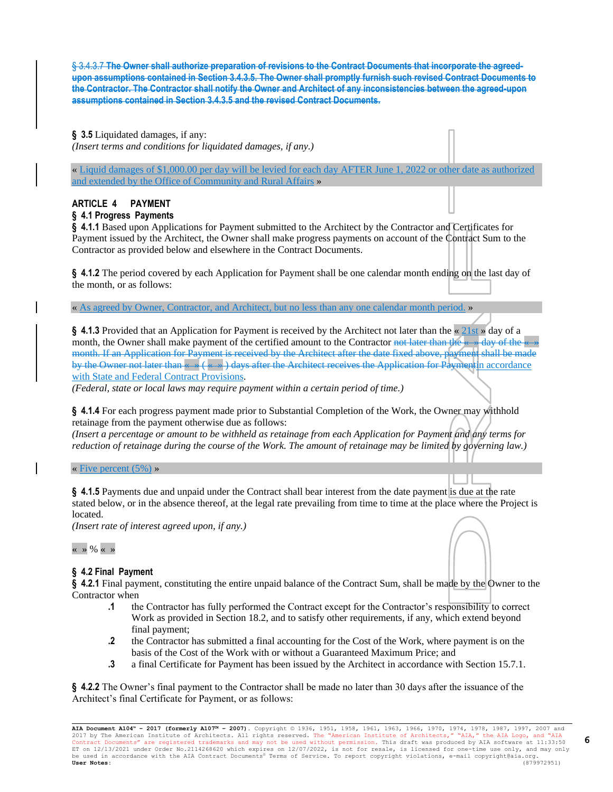§ 3.4.3.7 **The Owner shall authorize preparation of revisions to the Contract Documents that incorporate the agreedupon assumptions contained in Section 3.4.3.5. The Owner shall promptly furnish such revised Contract Documents to the Contractor. The Contractor shall notify the Owner and Architect of any inconsistencies between the agreed-upon assumptions contained in Section 3.4.3.5 and the revised Contract Documents.**

**§ 3.5** Liquidated damages, if any: *(Insert terms and conditions for liquidated damages, if any.)*

« Liquid damages of \$1,000.00 per day will be levied for each day AFTER June 1, 2022 or other date as authorized and extended by the Office of Community and Rural Affairs »

# **ARTICLE 4 PAYMENT**

#### **§ 4.1 Progress Payments**

**§ 4.1.1** Based upon Applications for Payment submitted to the Architect by the Contractor and Certificates for Payment issued by the Architect, the Owner shall make progress payments on account of the Contract Sum to the Contractor as provided below and elsewhere in the Contract Documents.

**§ 4.1.2** The period covered by each Application for Payment shall be one calendar month ending on the last day of the month, or as follows:

« As agreed by Owner, Contractor, and Architect, but no less than any one calendar month period. »

§ 4.1.3 Provided that an Application for Payment is received by the Architect not later than the « 21st » day of a month, the Owner shall make payment of the certified amount to the Contractor not later than the « » day of the month. If an Application for Payment is received by the Architect after the date fixed above, payment shall be made by the Owner not later than « » ( « ») days after the Architect receives the Application for Payment in accordance with State and Federal Contract Provisions.

*(Federal, state or local laws may require payment within a certain period of time.)*

**§ 4.1.4** For each progress payment made prior to Substantial Completion of the Work, the Owner may withhold retainage from the payment otherwise due as follows:

*(Insert a percentage or amount to be withheld as retainage from each Application for Payment and any terms for reduction of retainage during the course of the Work. The amount of retainage may be limited by governing law.)*

#### « Five percent  $(5\%) \times$

**§ 4.1.5** Payments due and unpaid under the Contract shall bear interest from the date payment is due at the rate stated below, or in the absence thereof, at the legal rate prevailing from time to time at the place where the Project is located.

*(Insert rate of interest agreed upon, if any.)*

#### $\langle \cdot \rangle \times 96 \langle \cdot \rangle \times$

#### **§ 4.2 Final Payment**

**§ 4.2.1** Final payment, constituting the entire unpaid balance of the Contract Sum, shall be made by the Owner to the Contractor when

- **.1** the Contractor has fully performed the Contract except for the Contractor's responsibility to correct Work as provided in Section 18.2, and to satisfy other requirements, if any, which extend beyond final payment;
- **.2** the Contractor has submitted a final accounting for the Cost of the Work, where payment is on the basis of the Cost of the Work with or without a Guaranteed Maximum Price; and
- **.3** a final Certificate for Payment has been issued by the Architect in accordance with Section 15.7.1.

**§ 4.2.2** The Owner's final payment to the Contractor shall be made no later than 30 days after the issuance of the Architect's final Certificate for Payment, or as follows: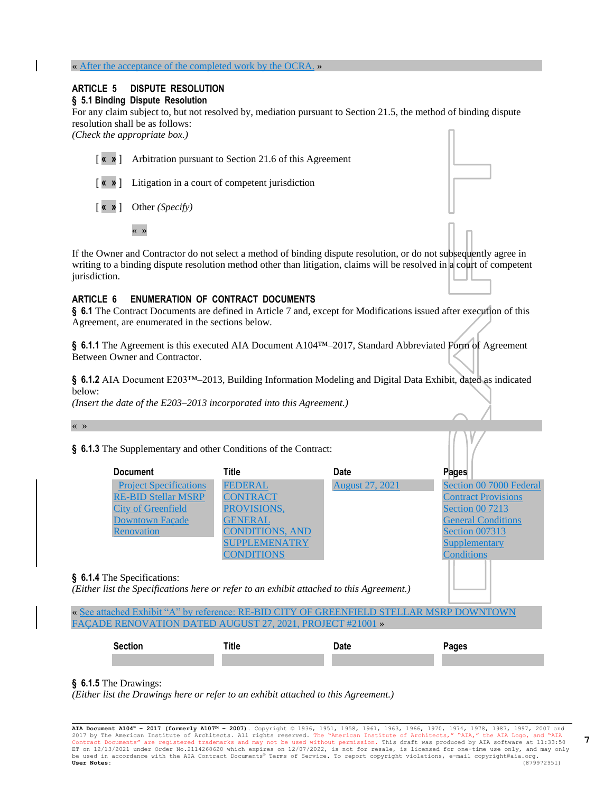« After the acceptance of the completed work by the OCRA. »

# **ARTICLE 5 DISPUTE RESOLUTION**

**§ 5.1 Binding Dispute Resolution**

For any claim subject to, but not resolved by, mediation pursuant to Section 21.5, the method of binding dispute resolution shall be as follows:

*(Check the appropriate box.)*



writing to a binding dispute resolution method other than litigation, claims will be resolved in a court of competent jurisdiction.

#### **ARTICLE 6 ENUMERATION OF CONTRACT DOCUMENTS**

**§ 6.1** The Contract Documents are defined in Article 7 and, except for Modifications issued after execution of this Agreement, are enumerated in the sections below.

**§ 6.1.1** The Agreement is this executed AIA Document A104™–2017, Standard Abbreviated Form of Agreement Between Owner and Contractor.

**§ 6.1.2** AIA Document E203™–2013, Building Information Modeling and Digital Data Exhibit, dated as indicated below:

*(Insert the date of the E203–2013 incorporated into this Agreement.)*

« » **§ 6.1.3** The Supplementary and other Conditions of the Contract: **Document Title Date Pages Project Specifications** RE-BID Stellar MSRP City of Greenfield Downtown Façade Renovation FEDERAL CONTRACT PROVISIONS, GENERAL CONDITIONS, AND SUPPLEMENATRY **CONDITIONS** August 27, 2021 Section 00 7000 Federal **Contract Provisions** Section 00 7213 General Conditions Section 007313 **Supplementary Conditions § 6.1.4** The Specifications: *(Either list the Specifications here or refer to an exhibit attached to this Agreement.)* « See attached Exhibit "A" by reference: RE-BID CITY OF GREENFIELD STELLAR MSRP DOWNTOWN FAÇADE RENOVATION DATED AUGUST 27, 2021, PROJECT #21001 »

| <b>Section</b> | ⊺itle | <b>Date</b> | Pages |
|----------------|-------|-------------|-------|
|                |       |             |       |

**§ 6.1.5** The Drawings:

*(Either list the Drawings here or refer to an exhibit attached to this Agreement.)*

**AIA Document A104™ – 2017 (formerly A107™ – 2007).** Copyright © 1936, 1951, 1958, 1961, 1963, 1966, 1970, 1974, 1978, 1987, 1997, 2007 and 2017 by The American Institute of Architects. All rights reserved. The "American Institute of Architects," "AIA," the AIA Logo, and "AIA<br>Contract Documents" are registered trademarks and may not be used without permission. ET on 12/13/2021 under Order No.2114268620 which expires on 12/07/2022, is not for resale, is licensed for one-time use only, and may only<br>be used in accordance with the AIA Contract Documents® Terms of Service. To report **User Notes:** (879972951)

**7**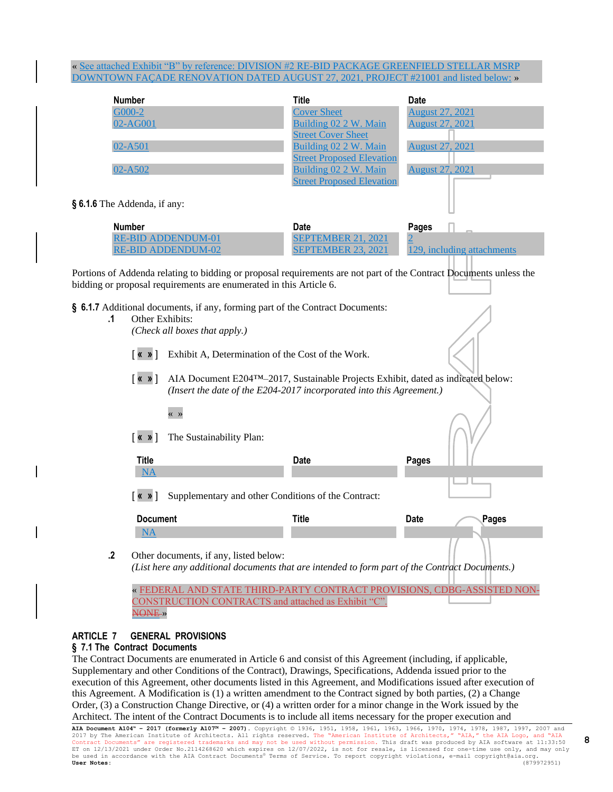#### « See attached Exhibit "B" by reference: DIVISION #2 RE-BID PACK DOWNTOWN FAÇADE RENOVATION DATED AUGUST 27, 2021, PROJECT #21001 and listed below: »

| <b>Number</b>                                                                                                                                                                            |                                                                                                                                                          | <b>Title</b>                                              | <b>Date</b>                                      |                            |
|------------------------------------------------------------------------------------------------------------------------------------------------------------------------------------------|----------------------------------------------------------------------------------------------------------------------------------------------------------|-----------------------------------------------------------|--------------------------------------------------|----------------------------|
| G000-2<br>02-AG001                                                                                                                                                                       |                                                                                                                                                          | <b>Cover Sheet</b><br>Building 02 2 W. Main               | <b>August 27, 2021</b><br><b>August 27, 2021</b> |                            |
|                                                                                                                                                                                          |                                                                                                                                                          | <b>Street Cover Sheet</b>                                 |                                                  |                            |
| 02-A501                                                                                                                                                                                  |                                                                                                                                                          | Building 02 2 W. Main                                     | <b>August 27, 2021</b>                           |                            |
| 02-A502                                                                                                                                                                                  |                                                                                                                                                          | <b>Street Proposed Elevation</b><br>Building 02 2 W. Main | <b>August 27, 2021</b>                           |                            |
|                                                                                                                                                                                          |                                                                                                                                                          | <b>Street Proposed Elevation</b>                          |                                                  |                            |
| § 6.1.6 The Addenda, if any:                                                                                                                                                             |                                                                                                                                                          |                                                           |                                                  |                            |
| <b>Number</b>                                                                                                                                                                            |                                                                                                                                                          | <b>Date</b>                                               | <b>Pages</b>                                     |                            |
|                                                                                                                                                                                          | <b>RE-BID ADDENDUM-01</b><br><b>RE-BID ADDENDUM-02</b>                                                                                                   | <b>SEPTEMBER 21, 2021</b><br><b>SEPTEMBER 23, 2021</b>    |                                                  | 129, including attachments |
| Portions of Addenda relating to bidding or proposal requirements are not part of the Contract Documents unless the<br>bidding or proposal requirements are enumerated in this Article 6. |                                                                                                                                                          |                                                           |                                                  |                            |
|                                                                                                                                                                                          | § 6.1.7 Additional documents, if any, forming part of the Contract Documents:                                                                            |                                                           |                                                  |                            |
| Other Exhibits:<br>.1                                                                                                                                                                    | (Check all boxes that apply.)                                                                                                                            |                                                           |                                                  |                            |
| $\begin{bmatrix} \kappa & \mathbf{v} \end{bmatrix}$                                                                                                                                      | Exhibit A, Determination of the Cost of the Work.                                                                                                        |                                                           |                                                  |                            |
| $[\kappa \nbrace$                                                                                                                                                                        | AIA Document E204™-2017, Sustainable Projects Exhibit, dated as indicated below:<br>(Insert the date of the E204-2017 incorporated into this Agreement.) |                                                           |                                                  |                            |
|                                                                                                                                                                                          | $\left\langle \left\langle \right\rangle \right\rangle$                                                                                                  |                                                           |                                                  |                            |
| $\left[\begin{array}{cc} \kappa & \kappa \end{array}\right]$                                                                                                                             | The Sustainability Plan:                                                                                                                                 |                                                           |                                                  |                            |
| <b>Title</b>                                                                                                                                                                             |                                                                                                                                                          |                                                           |                                                  |                            |
| NA                                                                                                                                                                                       |                                                                                                                                                          | <b>Date</b>                                               | Pages                                            |                            |
| $\left[\begin{array}{cc} \kappa & \kappa \end{array}\right]$<br>Supplementary and other Conditions of the Contract:                                                                      |                                                                                                                                                          |                                                           |                                                  |                            |
| <b>Document</b>                                                                                                                                                                          |                                                                                                                                                          | <b>Title</b>                                              | <b>Date</b>                                      | Pages                      |
| $NA$                                                                                                                                                                                     |                                                                                                                                                          |                                                           |                                                  |                            |
| $\cdot$<br>Other documents, if any, listed below:<br>(List here any additional documents that are intended to form part of the Contract Documents.)                                      |                                                                                                                                                          |                                                           |                                                  |                            |
| « FEDERAL AND STATE THIRD-PARTY CONTRACT PROVISIONS, CDBG-ASSISTED NON-<br>CONSTRUCTION CONTRACTS and attached as Exhibit "C".<br>NONE»                                                  |                                                                                                                                                          |                                                           |                                                  |                            |

#### **ARTICLE 7 GENERAL PROVISIONS**

#### **§ 7.1 The Contract Documents**

The Contract Documents are enumerated in Article 6 and consist of this Agreement (including, if applicable, Supplementary and other Conditions of the Contract), Drawings, Specifications, Addenda issued prior to the execution of this Agreement, other documents listed in this Agreement, and Modifications issued after execution of this Agreement. A Modification is (1) a written amendment to the Contract signed by both parties, (2) a Change Order, (3) a Construction Change Directive, or (4) a written order for a minor change in the Work issued by the Architect. The intent of the Contract Documents is to include all items necessary for the proper execution and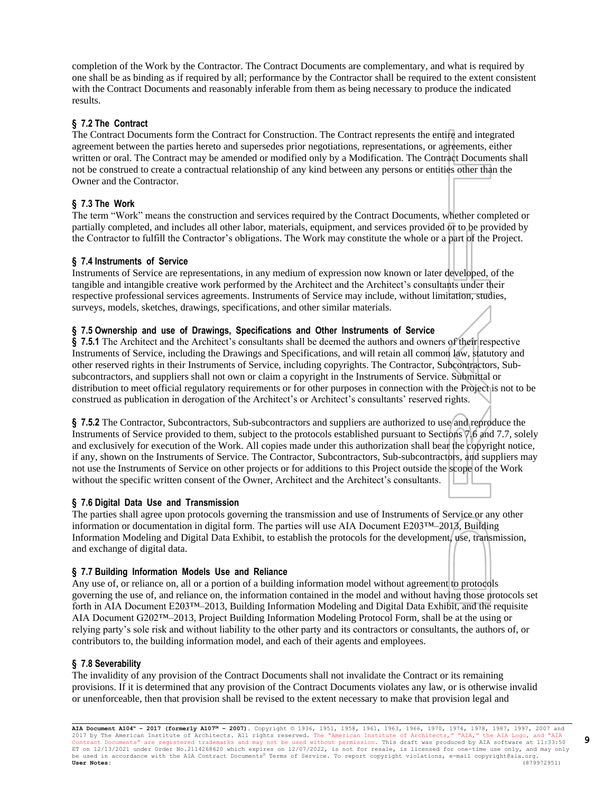completion of the Work by the Contractor. The Contract Documents are complementary, and what is required by one shall be as binding as if required by all; performance by the Contractor shall be required to the extent consistent with the Contract Documents and reasonably inferable from them as being necessary to produce the indicated results.

#### **§ 7.2 The Contract**

The Contract Documents form the Contract for Construction. The Contract represents the entire and integrated agreement between the parties hereto and supersedes prior negotiations, representations, or agreements, either written or oral. The Contract may be amended or modified only by a Modification. The Contract Documents shall not be construed to create a contractual relationship of any kind between any persons or entities other than the Owner and the Contractor.

# **§ 7.3 The Work**

The term "Work" means the construction and services required by the Contract Documents, whether completed or partially completed, and includes all other labor, materials, equipment, and services provided or to be provided by the Contractor to fulfill the Contractor's obligations. The Work may constitute the whole or a part of the Project.

#### **§ 7.4 Instruments of Service**

Instruments of Service are representations, in any medium of expression now known or later developed, of the tangible and intangible creative work performed by the Architect and the Architect's consultants under their respective professional services agreements. Instruments of Service may include, without limitation, studies, surveys, models, sketches, drawings, specifications, and other similar materials.

# **§ 7.5 Ownership and use of Drawings, Specifications and Other Instruments of Service**

**§ 7.5.1** The Architect and the Architect's consultants shall be deemed the authors and owners of their respective Instruments of Service, including the Drawings and Specifications, and will retain all common law, statutory and other reserved rights in their Instruments of Service, including copyrights. The Contractor, Subcontractors, Subsubcontractors, and suppliers shall not own or claim a copyright in the Instruments of Service. Submittal or distribution to meet official regulatory requirements or for other purposes in connection with the Project is not to be construed as publication in derogation of the Architect's or Architect's consultants' reserved rights.

**§ 7.5.2** The Contractor, Subcontractors, Sub-subcontractors and suppliers are authorized to use and reproduce the Instruments of Service provided to them, subject to the protocols established pursuant to Sections 7.6 and 7.7, solely and exclusively for execution of the Work. All copies made under this authorization shall bear the copyright notice, if any, shown on the Instruments of Service. The Contractor, Subcontractors, Sub-subcontractors, and suppliers may not use the Instruments of Service on other projects or for additions to this Project outside the scope of the Work without the specific written consent of the Owner, Architect and the Architect's consultants.

#### **§ 7.6 Digital Data Use and Transmission**

The parties shall agree upon protocols governing the transmission and use of Instruments of Service or any other information or documentation in digital form. The parties will use AIA Document E203™–2013, Building Information Modeling and Digital Data Exhibit, to establish the protocols for the development, use, transmission, and exchange of digital data.

#### **§ 7.7 Building Information Models Use and Reliance**

Any use of, or reliance on, all or a portion of a building information model without agreement to protocols governing the use of, and reliance on, the information contained in the model and without having those protocols set forth in AIA Document E203™–2013, Building Information Modeling and Digital Data Exhibit, and the requisite AIA Document G202™–2013, Project Building Information Modeling Protocol Form, shall be at the using or relying party's sole risk and without liability to the other party and its contractors or consultants, the authors of, or contributors to, the building information model, and each of their agents and employees.

#### **§ 7.8 Severability**

The invalidity of any provision of the Contract Documents shall not invalidate the Contract or its remaining provisions. If it is determined that any provision of the Contract Documents violates any law, or is otherwise invalid or unenforceable, then that provision shall be revised to the extent necessary to make that provision legal and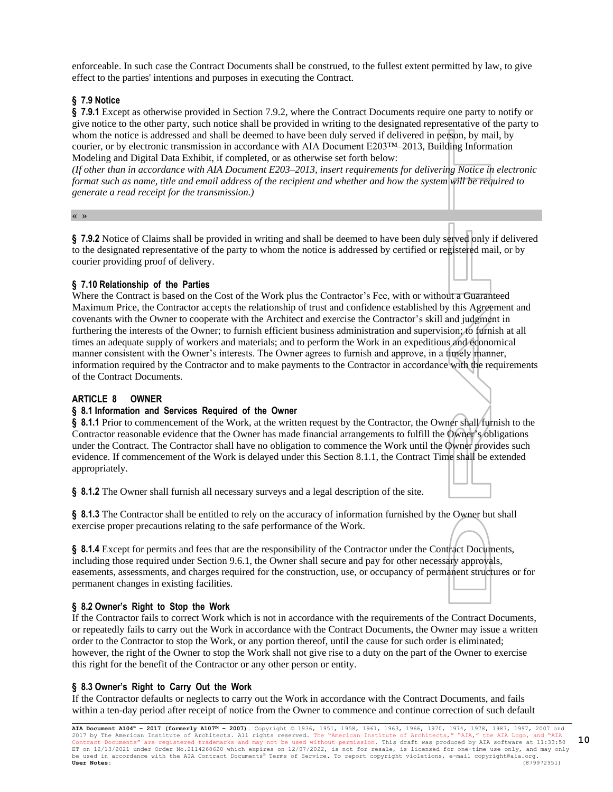enforceable. In such case the Contract Documents shall be construed, to the fullest extent permitted by law, to give effect to the parties' intentions and purposes in executing the Contract.

# **§ 7.9 Notice**

**§ 7.9.1** Except as otherwise provided in Section 7.9.2, where the Contract Documents require one party to notify or give notice to the other party, such notice shall be provided in writing to the designated representative of the party to whom the notice is addressed and shall be deemed to have been duly served if delivered in person, by mail, by courier, or by electronic transmission in accordance with AIA Document E203™–2013, Building Information Modeling and Digital Data Exhibit, if completed, or as otherwise set forth below:

*(If other than in accordance with AIA Document E203–2013, insert requirements for delivering Notice in electronic format such as name, title and email address of the recipient and whether and how the system will be required to generate a read receipt for the transmission.)*

#### « »

**§ 7.9.2** Notice of Claims shall be provided in writing and shall be deemed to have been duly served only if delivered to the designated representative of the party to whom the notice is addressed by certified or registered mail, or by courier providing proof of delivery.

#### **§ 7.10 Relationship of the Parties**

Where the Contract is based on the Cost of the Work plus the Contractor's Fee, with or without a Guaranteed Maximum Price, the Contractor accepts the relationship of trust and confidence established by this Agreement and covenants with the Owner to cooperate with the Architect and exercise the Contractor's skill and judgment in furthering the interests of the Owner; to furnish efficient business administration and supervision; to furnish at all times an adequate supply of workers and materials; and to perform the Work in an expeditious and economical manner consistent with the Owner's interests. The Owner agrees to furnish and approve, in a timely manner, information required by the Contractor and to make payments to the Contractor in accordance with the requirements of the Contract Documents.

#### **ARTICLE 8 OWNER**

#### **§ 8.1 Information and Services Required of the Owner**

§ **8.1.1** Prior to commencement of the Work, at the written request by the Contractor, the Owner shall furnish to the Contractor reasonable evidence that the Owner has made financial arrangements to fulfill the Owner's obligations under the Contract. The Contractor shall have no obligation to commence the Work until the Owner provides such evidence. If commencement of the Work is delayed under this Section 8.1.1, the Contract Time shall be extended appropriately.

**§ 8.1.2** The Owner shall furnish all necessary surveys and a legal description of the site.

**§ 8.1.3** The Contractor shall be entitled to rely on the accuracy of information furnished by the Owner but shall exercise proper precautions relating to the safe performance of the Work.

**§ 8.1.4** Except for permits and fees that are the responsibility of the Contractor under the Contract Documents, including those required under Section 9.6.1, the Owner shall secure and pay for other necessary approvals, easements, assessments, and charges required for the construction, use, or occupancy of permanent structures or for permanent changes in existing facilities.

#### **§ 8.2 Owner's Right to Stop the Work**

If the Contractor fails to correct Work which is not in accordance with the requirements of the Contract Documents, or repeatedly fails to carry out the Work in accordance with the Contract Documents, the Owner may issue a written order to the Contractor to stop the Work, or any portion thereof, until the cause for such order is eliminated; however, the right of the Owner to stop the Work shall not give rise to a duty on the part of the Owner to exercise this right for the benefit of the Contractor or any other person or entity.

#### **§ 8.3 Owner's Right to Carry Out the Work**

If the Contractor defaults or neglects to carry out the Work in accordance with the Contract Documents, and fails within a ten-day period after receipt of notice from the Owner to commence and continue correction of such default

**AIA Document A104™ – 2017 (formerly A107™ – 2007).** Copyright © 1936, 1951, 1958, 1961, 1963, 1966, 1970, 1974, 1978, 1987, 1997, 2007 and 2017 by The American Institute of Architects. All rights reserved. The "American Institute of Architects," "AIA," the AIA Logo, and "AIA<br>Contract Documents" are registered trademarks and may not be used without permission. Contract Documents" are registered trademarks and may not be used without permission. This draft was produced by AIA software at 11:33:50<br>ET on 12/13/2021 under Order No.2114268620 which expires on 12/07/2022, is not for r be used in accordance with the AIA Contract Documents® Terms of Service. To report copyright violations, e-mail copyright@aia.org.<br>User Notes: (879972951) **User Notes:** (879972951) **10**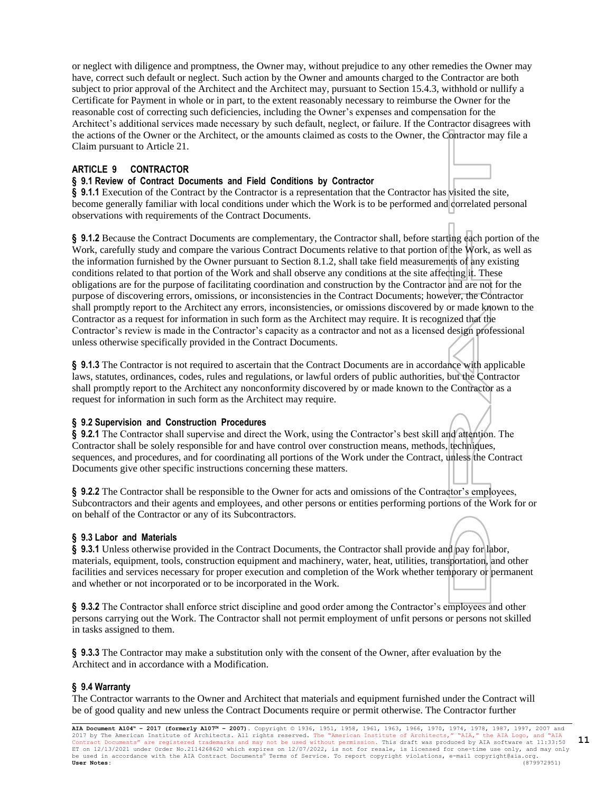or neglect with diligence and promptness, the Owner may, without prejudice to any other remedies the Owner may have, correct such default or neglect. Such action by the Owner and amounts charged to the Contractor are both subject to prior approval of the Architect and the Architect may, pursuant to Section 15.4.3, withhold or nullify a Certificate for Payment in whole or in part, to the extent reasonably necessary to reimburse the Owner for the reasonable cost of correcting such deficiencies, including the Owner's expenses and compensation for the Architect's additional services made necessary by such default, neglect, or failure. If the Contractor disagrees with the actions of the Owner or the Architect, or the amounts claimed as costs to the Owner, the Contractor may file a Claim pursuant to Article 21.

# **ARTICLE 9 CONTRACTOR**

#### **§ 9.1 Review of Contract Documents and Field Conditions by Contractor**

**§ 9.1.1** Execution of the Contract by the Contractor is a representation that the Contractor has visited the site, become generally familiar with local conditions under which the Work is to be performed and correlated personal observations with requirements of the Contract Documents.

**§ 9.1.2** Because the Contract Documents are complementary, the Contractor shall, before starting each portion of the Work, carefully study and compare the various Contract Documents relative to that portion of the Work, as well as the information furnished by the Owner pursuant to Section 8.1.2, shall take field measurements of any existing conditions related to that portion of the Work and shall observe any conditions at the site affecting it. These obligations are for the purpose of facilitating coordination and construction by the Contractor and are not for the purpose of discovering errors, omissions, or inconsistencies in the Contract Documents; however, the Contractor shall promptly report to the Architect any errors, inconsistencies, or omissions discovered by or made known to the Contractor as a request for information in such form as the Architect may require. It is recognized that the Contractor's review is made in the Contractor's capacity as a contractor and not as a licensed design professional unless otherwise specifically provided in the Contract Documents.

**§ 9.1.3** The Contractor is not required to ascertain that the Contract Documents are in accordance with applicable laws, statutes, ordinances, codes, rules and regulations, or lawful orders of public authorities, but the Contractor shall promptly report to the Architect any nonconformity discovered by or made known to the Contractor as a request for information in such form as the Architect may require.

#### **§ 9.2 Supervision and Construction Procedures**

**§ 9.2.1** The Contractor shall supervise and direct the Work, using the Contractor's best skill and attention. The Contractor shall be solely responsible for and have control over construction means, methods, techniques, sequences, and procedures, and for coordinating all portions of the Work under the Contract, unless the Contract Documents give other specific instructions concerning these matters.

**§ 9.2.2** The Contractor shall be responsible to the Owner for acts and omissions of the Contractor's employees, Subcontractors and their agents and employees, and other persons or entities performing portions of the Work for or on behalf of the Contractor or any of its Subcontractors.

#### **§ 9.3 Labor and Materials**

§ 9.3.1 Unless otherwise provided in the Contract Documents, the Contractor shall provide and pay for labor, materials, equipment, tools, construction equipment and machinery, water, heat, utilities, transportation, and other facilities and services necessary for proper execution and completion of the Work whether temporary or permanent and whether or not incorporated or to be incorporated in the Work.

**§ 9.3.2** The Contractor shall enforce strict discipline and good order among the Contractor's employees and other persons carrying out the Work. The Contractor shall not permit employment of unfit persons or persons not skilled in tasks assigned to them.

**§ 9.3.3** The Contractor may make a substitution only with the consent of the Owner, after evaluation by the Architect and in accordance with a Modification.

#### **§ 9.4 Warranty**

The Contractor warrants to the Owner and Architect that materials and equipment furnished under the Contract will be of good quality and new unless the Contract Documents require or permit otherwise. The Contractor further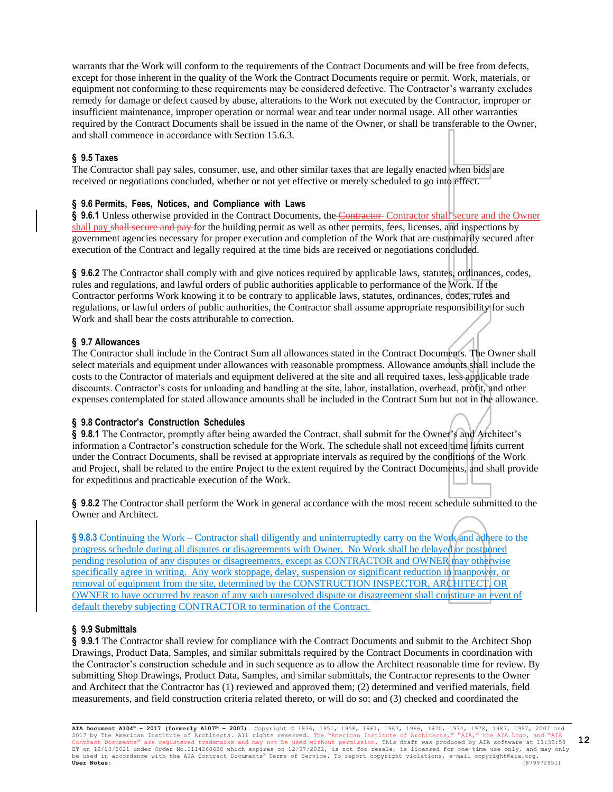warrants that the Work will conform to the requirements of the Contract Documents and will be free from defects, except for those inherent in the quality of the Work the Contract Documents require or permit. Work, materials, or equipment not conforming to these requirements may be considered defective. The Contractor's warranty excludes remedy for damage or defect caused by abuse, alterations to the Work not executed by the Contractor, improper or insufficient maintenance, improper operation or normal wear and tear under normal usage. All other warranties required by the Contract Documents shall be issued in the name of the Owner, or shall be transferable to the Owner, and shall commence in accordance with Section 15.6.3.

# **§ 9.5 Taxes**

The Contractor shall pay sales, consumer, use, and other similar taxes that are legally enacted when bids are received or negotiations concluded, whether or not yet effective or merely scheduled to go into effect.

#### **§ 9.6 Permits, Fees, Notices, and Compliance with Laws**

**§ 9.6.1** Unless otherwise provided in the Contract Documents, the Contractor Contractor shall secure and the Owner shall pay shall secure and pay for the building permit as well as other permits, fees, licenses, and inspections by government agencies necessary for proper execution and completion of the Work that are customarily secured after execution of the Contract and legally required at the time bids are received or negotiations concluded.

**§ 9.6.2** The Contractor shall comply with and give notices required by applicable laws, statutes, ordinances, codes, rules and regulations, and lawful orders of public authorities applicable to performance of the Work. If the Contractor performs Work knowing it to be contrary to applicable laws, statutes, ordinances, codes, rules and regulations, or lawful orders of public authorities, the Contractor shall assume appropriate responsibility for such Work and shall bear the costs attributable to correction.

#### **§ 9.7 Allowances**

The Contractor shall include in the Contract Sum all allowances stated in the Contract Documents. The Owner shall select materials and equipment under allowances with reasonable promptness. Allowance amounts shall include the costs to the Contractor of materials and equipment delivered at the site and all required taxes, less applicable trade discounts. Contractor's costs for unloading and handling at the site, labor, installation, overhead, profit, and other expenses contemplated for stated allowance amounts shall be included in the Contract Sum but not in the allowance.

#### **§ 9.8 Contractor's Construction Schedules**

**§ 9.8.1** The Contractor, promptly after being awarded the Contract, shall submit for the Owner's and Architect's information a Contractor's construction schedule for the Work. The schedule shall not exceed time limits current under the Contract Documents, shall be revised at appropriate intervals as required by the conditions of the Work and Project, shall be related to the entire Project to the extent required by the Contract Documents, and shall provide for expeditious and practicable execution of the Work.

**§ 9.8.2** The Contractor shall perform the Work in general accordance with the most recent schedule submitted to the Owner and Architect.

§ 9.8.3 Continuing the Work – Contractor shall diligently and uninterruptedly carry on the Work and adhere to the progress schedule during all disputes or disagreements with Owner. No Work shall be delayed or postponed pending resolution of any disputes or disagreements, except as CONTRACTOR and OWNER may otherwise specifically agree in writing. Any work stoppage, delay, suspension or significant reduction in manpower, or removal of equipment from the site, determined by the CONSTRUCTION INSPECTOR, ARCHITECT, OR OWNER to have occurred by reason of any such unresolved dispute or disagreement shall constitute an event of default thereby subjecting CONTRACTOR to termination of the Contract.

#### **§ 9.9 Submittals**

**§ 9.9.1** The Contractor shall review for compliance with the Contract Documents and submit to the Architect Shop Drawings, Product Data, Samples, and similar submittals required by the Contract Documents in coordination with the Contractor's construction schedule and in such sequence as to allow the Architect reasonable time for review. By submitting Shop Drawings, Product Data, Samples, and similar submittals, the Contractor represents to the Owner and Architect that the Contractor has (1) reviewed and approved them; (2) determined and verified materials, field measurements, and field construction criteria related thereto, or will do so; and (3) checked and coordinated the

**AIA Document A104™ – 2017 (formerly A107™ – 2007).** Copyright © 1936, 1951, 1958, 1961, 1963, 1966, 1970, 1974, 1978, 1987, 1997, 2007 and 2017 by The American Institute of Architects. All rights reserved. The "American Institute of Architects," "AIA," the AIA Logo, and "AIA<br>Contract Documents" are registered trademarks and may not be used without permission. ET on 12/13/2021 under Order No.2114268620 which expires on 12/07/2022, is not for resale, is licensed for one-time use only, and may only<br>be used in accordance with the AIA Contract Documents® Terms of Service. To report **User Notes:** (879972951) **12**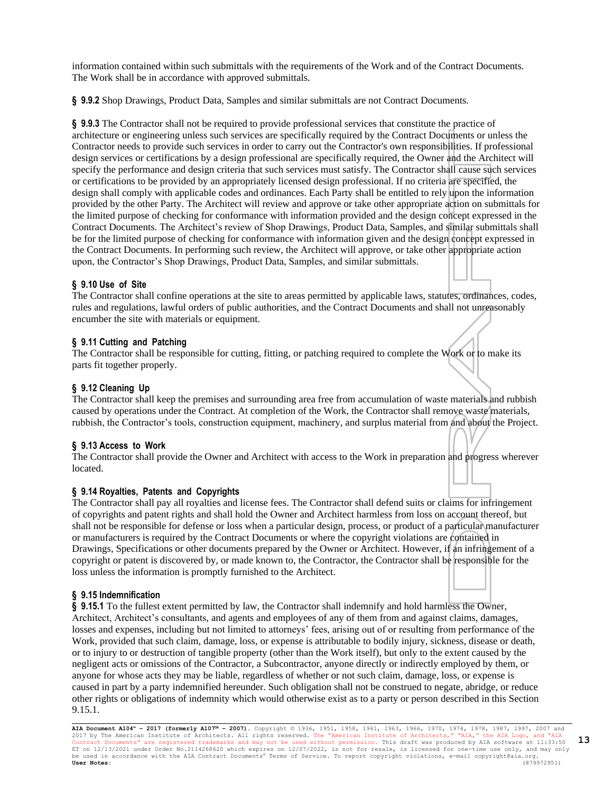information contained within such submittals with the requirements of the Work and of the Contract Documents. The Work shall be in accordance with approved submittals.

**§ 9.9.2** Shop Drawings, Product Data, Samples and similar submittals are not Contract Documents.

**§ 9.9.3** The Contractor shall not be required to provide professional services that constitute the practice of architecture or engineering unless such services are specifically required by the Contract Documents or unless the Contractor needs to provide such services in order to carry out the Contractor's own responsibilities. If professional design services or certifications by a design professional are specifically required, the Owner and the Architect will specify the performance and design criteria that such services must satisfy. The Contractor shall cause such services or certifications to be provided by an appropriately licensed design professional. If no criteria are specified, the design shall comply with applicable codes and ordinances. Each Party shall be entitled to rely upon the information provided by the other Party. The Architect will review and approve or take other appropriate action on submittals for the limited purpose of checking for conformance with information provided and the design concept expressed in the Contract Documents. The Architect's review of Shop Drawings, Product Data, Samples, and similar submittals shall be for the limited purpose of checking for conformance with information given and the design concept expressed in the Contract Documents. In performing such review, the Architect will approve, or take other appropriate action upon, the Contractor's Shop Drawings, Product Data, Samples, and similar submittals.

#### **§ 9.10 Use of Site**

The Contractor shall confine operations at the site to areas permitted by applicable laws, statutes, ordinances, codes, rules and regulations, lawful orders of public authorities, and the Contract Documents and shall not unreasonably encumber the site with materials or equipment.

#### **§ 9.11 Cutting and Patching**

The Contractor shall be responsible for cutting, fitting, or patching required to complete the Work or to make its parts fit together properly.

# **§ 9.12 Cleaning Up**

The Contractor shall keep the premises and surrounding area free from accumulation of waste materials and rubbish caused by operations under the Contract. At completion of the Work, the Contractor shall remove waste materials, rubbish, the Contractor's tools, construction equipment, machinery, and surplus material from and about the Project.

#### **§ 9.13 Access to Work**

The Contractor shall provide the Owner and Architect with access to the Work in preparation and progress wherever located.

#### **§ 9.14 Royalties, Patents and Copyrights**

The Contractor shall pay all royalties and license fees. The Contractor shall defend suits or claims for infringement of copyrights and patent rights and shall hold the Owner and Architect harmless from loss on account thereof, but shall not be responsible for defense or loss when a particular design, process, or product of a particular manufacturer or manufacturers is required by the Contract Documents or where the copyright violations are contained in Drawings, Specifications or other documents prepared by the Owner or Architect. However, if an infringement of a copyright or patent is discovered by, or made known to, the Contractor, the Contractor shall be responsible for the loss unless the information is promptly furnished to the Architect.

#### **§ 9.15 Indemnification**

**§ 9.15.1** To the fullest extent permitted by law, the Contractor shall indemnify and hold harmless the Owner, Architect, Architect's consultants, and agents and employees of any of them from and against claims, damages, losses and expenses, including but not limited to attorneys' fees, arising out of or resulting from performance of the Work, provided that such claim, damage, loss, or expense is attributable to bodily injury, sickness, disease or death, or to injury to or destruction of tangible property (other than the Work itself), but only to the extent caused by the negligent acts or omissions of the Contractor, a Subcontractor, anyone directly or indirectly employed by them, or anyone for whose acts they may be liable, regardless of whether or not such claim, damage, loss, or expense is caused in part by a party indemnified hereunder. Such obligation shall not be construed to negate, abridge, or reduce other rights or obligations of indemnity which would otherwise exist as to a party or person described in this Section 9.15.1.

**AIA Document A104™ – 2017 (formerly A107™ – 2007).** Copyright © 1936, 1951, 1958, 1961, 1963, 1966, 1970, 1974, 1978, 1987, 1997, 2007 and 2017 by The American Institute of Architects. All rights reserved. The "American Institute of Architects," "AIA," the AIA Logo, and "AIA<br>Contract Documents" are registered trademarks and may not be used without permission. Contract Documents" are registered trademarks and may not be used without permission. This draft was produced by AIA software at 11:33:50<br>ET on 12/13/2021 under Order No.2114268620 which expires on 12/07/2022, is not for r be used in accordance with the AIA Contract Documents® Terms of Service. To report copyright violations, e-mail copyright@aia.org.<br>User Notes: (879972951) **User Notes:** (879972951) **13**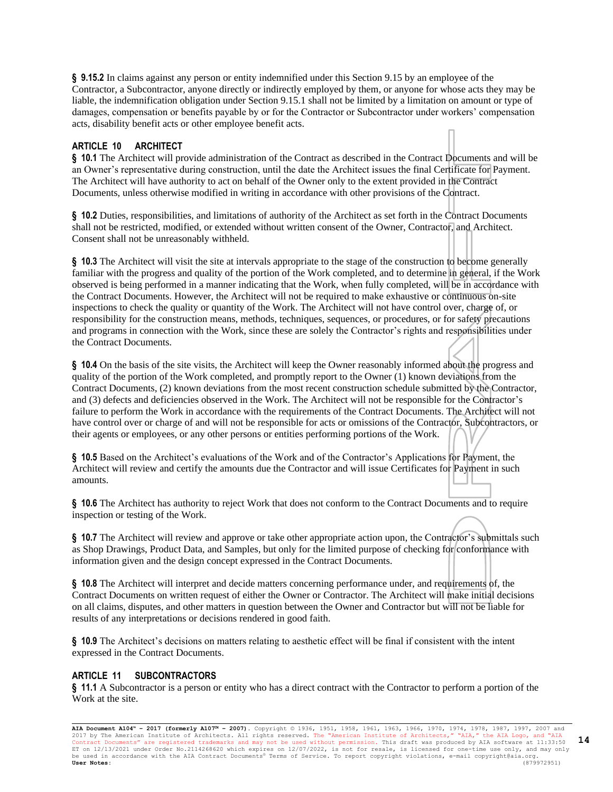**§ 9.15.2** In claims against any person or entity indemnified under this Section 9.15 by an employee of the Contractor, a Subcontractor, anyone directly or indirectly employed by them, or anyone for whose acts they may be liable, the indemnification obligation under Section 9.15.1 shall not be limited by a limitation on amount or type of damages, compensation or benefits payable by or for the Contractor or Subcontractor under workers' compensation acts, disability benefit acts or other employee benefit acts.

# **ARTICLE 10 ARCHITECT**

**§ 10.1** The Architect will provide administration of the Contract as described in the Contract Documents and will be an Owner's representative during construction, until the date the Architect issues the final Certificate for Payment. The Architect will have authority to act on behalf of the Owner only to the extent provided in the Contract Documents, unless otherwise modified in writing in accordance with other provisions of the Contract.

**§ 10.2** Duties, responsibilities, and limitations of authority of the Architect as set forth in the Contract Documents shall not be restricted, modified, or extended without written consent of the Owner, Contractor, and Architect. Consent shall not be unreasonably withheld.

**§ 10.3** The Architect will visit the site at intervals appropriate to the stage of the construction to become generally familiar with the progress and quality of the portion of the Work completed, and to determine in general, if the Work observed is being performed in a manner indicating that the Work, when fully completed, will be in accordance with the Contract Documents. However, the Architect will not be required to make exhaustive or continuous on-site inspections to check the quality or quantity of the Work. The Architect will not have control over, charge of, or responsibility for the construction means, methods, techniques, sequences, or procedures, or for safety precautions and programs in connection with the Work, since these are solely the Contractor's rights and responsibilities under the Contract Documents.

**§ 10.4** On the basis of the site visits, the Architect will keep the Owner reasonably informed about the progress and quality of the portion of the Work completed, and promptly report to the Owner (1) known deviations from the Contract Documents, (2) known deviations from the most recent construction schedule submitted by the Contractor, and (3) defects and deficiencies observed in the Work. The Architect will not be responsible for the Contractor's failure to perform the Work in accordance with the requirements of the Contract Documents. The Architect will not have control over or charge of and will not be responsible for acts or omissions of the Contractor, Subcontractors, or their agents or employees, or any other persons or entities performing portions of the Work.

**§ 10.5** Based on the Architect's evaluations of the Work and of the Contractor's Applications for Payment, the Architect will review and certify the amounts due the Contractor and will issue Certificates for Payment in such amounts.

**§ 10.6** The Architect has authority to reject Work that does not conform to the Contract Documents and to require inspection or testing of the Work.

**§ 10.7** The Architect will review and approve or take other appropriate action upon, the Contractor's submittals such as Shop Drawings, Product Data, and Samples, but only for the limited purpose of checking for conformance with information given and the design concept expressed in the Contract Documents.

**§ 10.8** The Architect will interpret and decide matters concerning performance under, and requirements of, the Contract Documents on written request of either the Owner or Contractor. The Architect will make initial decisions on all claims, disputes, and other matters in question between the Owner and Contractor but will not be liable for results of any interpretations or decisions rendered in good faith.

**§ 10.9** The Architect's decisions on matters relating to aesthetic effect will be final if consistent with the intent expressed in the Contract Documents.

# **ARTICLE 11 SUBCONTRACTORS**

**§ 11.1** A Subcontractor is a person or entity who has a direct contract with the Contractor to perform a portion of the Work at the site.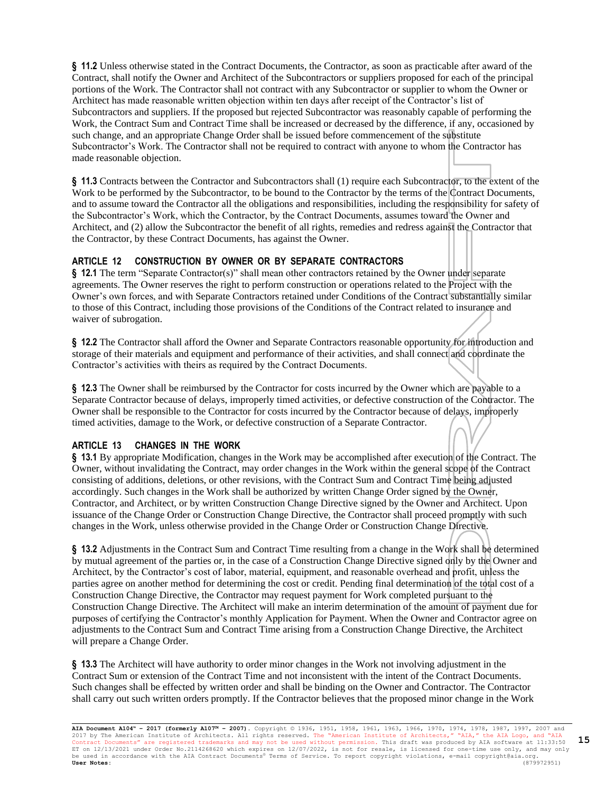**§ 11.2** Unless otherwise stated in the Contract Documents, the Contractor, as soon as practicable after award of the Contract, shall notify the Owner and Architect of the Subcontractors or suppliers proposed for each of the principal portions of the Work. The Contractor shall not contract with any Subcontractor or supplier to whom the Owner or Architect has made reasonable written objection within ten days after receipt of the Contractor's list of Subcontractors and suppliers. If the proposed but rejected Subcontractor was reasonably capable of performing the Work, the Contract Sum and Contract Time shall be increased or decreased by the difference, if any, occasioned by such change, and an appropriate Change Order shall be issued before commencement of the substitute Subcontractor's Work. The Contractor shall not be required to contract with anyone to whom the Contractor has made reasonable objection.

**§ 11.3** Contracts between the Contractor and Subcontractors shall (1) require each Subcontractor, to the extent of the Work to be performed by the Subcontractor, to be bound to the Contractor by the terms of the Contract Documents, and to assume toward the Contractor all the obligations and responsibilities, including the responsibility for safety of the Subcontractor's Work, which the Contractor, by the Contract Documents, assumes toward the Owner and Architect, and (2) allow the Subcontractor the benefit of all rights, remedies and redress against the Contractor that the Contractor, by these Contract Documents, has against the Owner.

# **ARTICLE 12 CONSTRUCTION BY OWNER OR BY SEPARATE CONTRACTORS**

**§ 12.1** The term "Separate Contractor(s)" shall mean other contractors retained by the Owner under separate agreements. The Owner reserves the right to perform construction or operations related to the Project with the Owner's own forces, and with Separate Contractors retained under Conditions of the Contract substantially similar to those of this Contract, including those provisions of the Conditions of the Contract related to insurance and waiver of subrogation.

**§ 12.2** The Contractor shall afford the Owner and Separate Contractors reasonable opportunity for introduction and storage of their materials and equipment and performance of their activities, and shall connect and coordinate the Contractor's activities with theirs as required by the Contract Documents.

**§ 12.3** The Owner shall be reimbursed by the Contractor for costs incurred by the Owner which are payable to a Separate Contractor because of delays, improperly timed activities, or defective construction of the Contractor. The Owner shall be responsible to the Contractor for costs incurred by the Contractor because of delays, improperly timed activities, damage to the Work, or defective construction of a Separate Contractor.

#### **ARTICLE 13 CHANGES IN THE WORK**

**§ 13.1** By appropriate Modification, changes in the Work may be accomplished after execution of the Contract. The Owner, without invalidating the Contract, may order changes in the Work within the general scope of the Contract consisting of additions, deletions, or other revisions, with the Contract Sum and Contract Time being adjusted accordingly. Such changes in the Work shall be authorized by written Change Order signed by the Owner, Contractor, and Architect, or by written Construction Change Directive signed by the Owner and Architect. Upon issuance of the Change Order or Construction Change Directive, the Contractor shall proceed promptly with such changes in the Work, unless otherwise provided in the Change Order or Construction Change Directive.

**§ 13.2** Adjustments in the Contract Sum and Contract Time resulting from a change in the Work shall be determined by mutual agreement of the parties or, in the case of a Construction Change Directive signed only by the Owner and Architect, by the Contractor's cost of labor, material, equipment, and reasonable overhead and profit, unless the parties agree on another method for determining the cost or credit. Pending final determination of the total cost of a Construction Change Directive, the Contractor may request payment for Work completed pursuant to the Construction Change Directive. The Architect will make an interim determination of the amount of payment due for purposes of certifying the Contractor's monthly Application for Payment. When the Owner and Contractor agree on adjustments to the Contract Sum and Contract Time arising from a Construction Change Directive, the Architect will prepare a Change Order.

**§ 13.3** The Architect will have authority to order minor changes in the Work not involving adjustment in the Contract Sum or extension of the Contract Time and not inconsistent with the intent of the Contract Documents. Such changes shall be effected by written order and shall be binding on the Owner and Contractor. The Contractor shall carry out such written orders promptly. If the Contractor believes that the proposed minor change in the Work

**AIA Document A104™ – 2017 (formerly A107™ – 2007).** Copyright © 1936, 1951, 1958, 1961, 1963, 1966, 1970, 1974, 1978, 1987, 1997, 2007 and 2017 by The American Institute of Architects. All rights reserved. The "American Institute of Architects," "AIA," the AIA Logo, and "AIA<br>Contract Documents" are registered trademarks and may not be used without permission. ET on 12/13/2021 under Order No.2114268620 which expires on 12/07/2022, is not for resale, is licensed for one-time use only, and may only<br>be used in accordance with the AIA Contract Documents® Terms of Service. To report **User Notes:** (879972951) **15**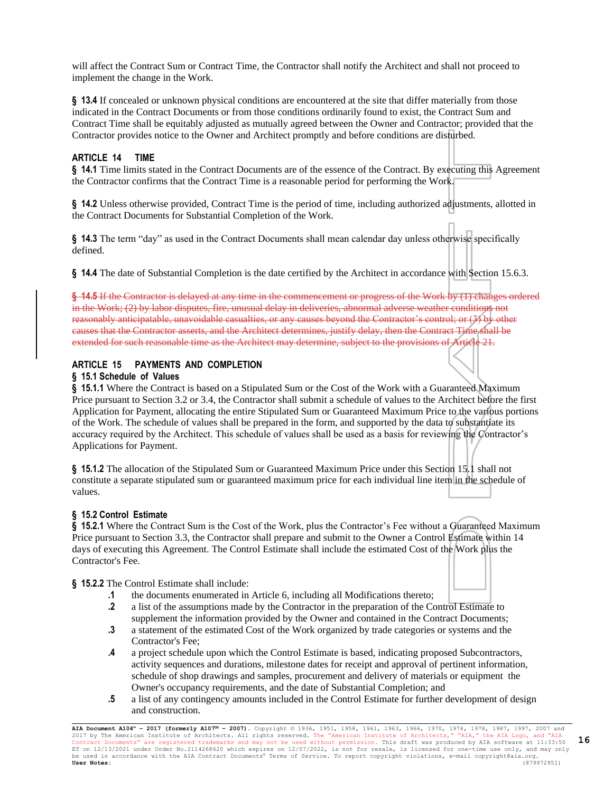will affect the Contract Sum or Contract Time, the Contractor shall notify the Architect and shall not proceed to implement the change in the Work.

**§ 13.4** If concealed or unknown physical conditions are encountered at the site that differ materially from those indicated in the Contract Documents or from those conditions ordinarily found to exist, the Contract Sum and Contract Time shall be equitably adjusted as mutually agreed between the Owner and Contractor; provided that the Contractor provides notice to the Owner and Architect promptly and before conditions are disturbed.

# **ARTICLE 14 TIME**

**§ 14.1** Time limits stated in the Contract Documents are of the essence of the Contract. By executing this Agreement the Contractor confirms that the Contract Time is a reasonable period for performing the Work.

**§ 14.2** Unless otherwise provided, Contract Time is the period of time, including authorized adjustments, allotted in the Contract Documents for Substantial Completion of the Work.

**§ 14.3** The term "day" as used in the Contract Documents shall mean calendar day unless otherwise specifically defined.

**§ 14.4** The date of Substantial Completion is the date certified by the Architect in accordance with Section 15.6.3.

**§ 14.5** If the Contractor is delayed at any time in the commencement or progress of the Work by (1) changes ordered in the Work; (2) by labor disputes, fire, unusual delay in deliveries, abnormal adverse weather conditions not reasonably anticipatable, unavoidable casualties, or any causes beyond the Contractor's control; or (3) by other causes that the Contractor asserts, and the Architect determines, justify delay, then the Contract Time shall be extended for such reasonable time as the Architect may determine, subject to the provisions of Article 21.

#### **ARTICLE 15 PAYMENTS AND COMPLETION**

#### **§ 15.1 Schedule of Values**

**§ 15.1.1** Where the Contract is based on a Stipulated Sum or the Cost of the Work with a Guaranteed Maximum Price pursuant to Section 3.2 or 3.4, the Contractor shall submit a schedule of values to the Architect before the first Application for Payment, allocating the entire Stipulated Sum or Guaranteed Maximum Price to the various portions of the Work. The schedule of values shall be prepared in the form, and supported by the data to substantiate its accuracy required by the Architect. This schedule of values shall be used as a basis for reviewing the Contractor's Applications for Payment.

**§ 15.1.2** The allocation of the Stipulated Sum or Guaranteed Maximum Price under this Section 15.1 shall not constitute a separate stipulated sum or guaranteed maximum price for each individual line item in the schedule of values.

#### **§ 15.2 Control Estimate**

**§ 15.2.1** Where the Contract Sum is the Cost of the Work, plus the Contractor's Fee without a Guaranteed Maximum Price pursuant to Section 3.3, the Contractor shall prepare and submit to the Owner a Control Estimate within 14 days of executing this Agreement. The Control Estimate shall include the estimated Cost of the Work plus the Contractor's Fee.

**§ 15.2.2** The Control Estimate shall include:

- **.1** the documents enumerated in Article 6, including all Modifications thereto;
- **.2** a list of the assumptions made by the Contractor in the preparation of the Control Estimate to supplement the information provided by the Owner and contained in the Contract Documents;
- **.3** a statement of the estimated Cost of the Work organized by trade categories or systems and the Contractor's Fee;
- **.4** a project schedule upon which the Control Estimate is based, indicating proposed Subcontractors, activity sequences and durations, milestone dates for receipt and approval of pertinent information, schedule of shop drawings and samples, procurement and delivery of materials or equipment the Owner's occupancy requirements, and the date of Substantial Completion; and
- **.5** a list of any contingency amounts included in the Control Estimate for further development of design and construction.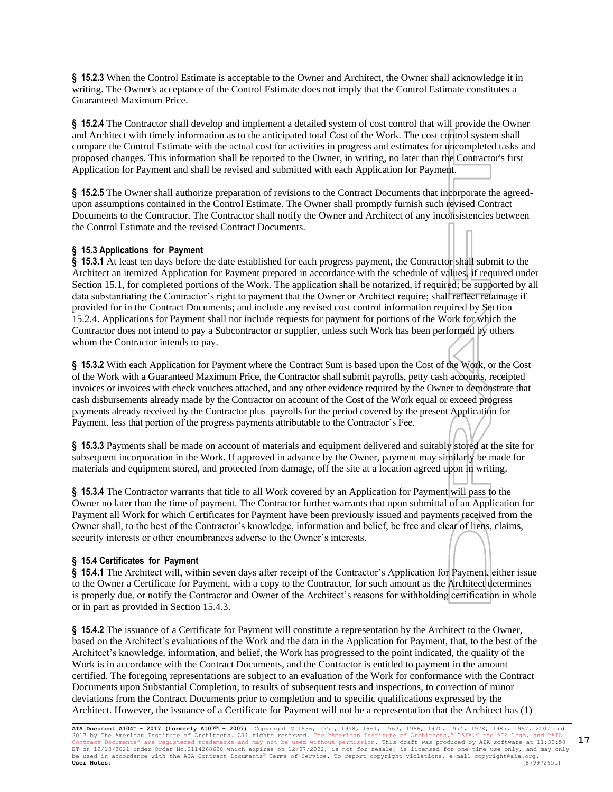**§ 15.2.3** When the Control Estimate is acceptable to the Owner and Architect, the Owner shall acknowledge it in writing. The Owner's acceptance of the Control Estimate does not imply that the Control Estimate constitutes a Guaranteed Maximum Price.

**§ 15.2.4** The Contractor shall develop and implement a detailed system of cost control that will provide the Owner and Architect with timely information as to the anticipated total Cost of the Work. The cost control system shall compare the Control Estimate with the actual cost for activities in progress and estimates for uncompleted tasks and proposed changes. This information shall be reported to the Owner, in writing, no later than the Contractor's first Application for Payment and shall be revised and submitted with each Application for Payment.

**§ 15.2.5** The Owner shall authorize preparation of revisions to the Contract Documents that incorporate the agreedupon assumptions contained in the Control Estimate. The Owner shall promptly furnish such revised Contract Documents to the Contractor. The Contractor shall notify the Owner and Architect of any inconsistencies between the Control Estimate and the revised Contract Documents.

# **§ 15.3 Applications for Payment**

**§ 15.3.1** At least ten days before the date established for each progress payment, the Contractor shall submit to the Architect an itemized Application for Payment prepared in accordance with the schedule of values, if required under Section 15.1, for completed portions of the Work. The application shall be notarized, if required; be supported by all data substantiating the Contractor's right to payment that the Owner or Architect require; shall reflect retainage if provided for in the Contract Documents; and include any revised cost control information required by Section 15.2.4. Applications for Payment shall not include requests for payment for portions of the Work for which the Contractor does not intend to pay a Subcontractor or supplier, unless such Work has been performed by others whom the Contractor intends to pay.

**§ 15.3.2** With each Application for Payment where the Contract Sum is based upon the Cost of the Work, or the Cost of the Work with a Guaranteed Maximum Price, the Contractor shall submit payrolls, petty cash accounts, receipted invoices or invoices with check vouchers attached, and any other evidence required by the Owner to demonstrate that cash disbursements already made by the Contractor on account of the Cost of the Work equal or exceed progress payments already received by the Contractor plus payrolls for the period covered by the present Application for Payment, less that portion of the progress payments attributable to the Contractor's Fee.

**§ 15.3.3** Payments shall be made on account of materials and equipment delivered and suitably stored at the site for subsequent incorporation in the Work. If approved in advance by the Owner, payment may similarly be made for materials and equipment stored, and protected from damage, off the site at a location agreed upon in writing.

**§ 15.3.4** The Contractor warrants that title to all Work covered by an Application for Payment will pass to the Owner no later than the time of payment. The Contractor further warrants that upon submittal of an Application for Payment all Work for which Certificates for Payment have been previously issued and payments received from the Owner shall, to the best of the Contractor's knowledge, information and belief, be free and clear of liens, claims, security interests or other encumbrances adverse to the Owner's interests.

# **§ 15.4 Certificates for Payment**

**§ 15.4.1** The Architect will, within seven days after receipt of the Contractor's Application for Payment, either issue to the Owner a Certificate for Payment, with a copy to the Contractor, for such amount as the Architect determines is properly due, or notify the Contractor and Owner of the Architect's reasons for withholding certification in whole or in part as provided in Section 15.4.3.

**§ 15.4.2** The issuance of a Certificate for Payment will constitute a representation by the Architect to the Owner, based on the Architect's evaluations of the Work and the data in the Application for Payment, that, to the best of the Architect's knowledge, information, and belief, the Work has progressed to the point indicated, the quality of the Work is in accordance with the Contract Documents, and the Contractor is entitled to payment in the amount certified. The foregoing representations are subject to an evaluation of the Work for conformance with the Contract Documents upon Substantial Completion, to results of subsequent tests and inspections, to correction of minor deviations from the Contract Documents prior to completion and to specific qualifications expressed by the Architect. However, the issuance of a Certificate for Payment will not be a representation that the Architect has (1)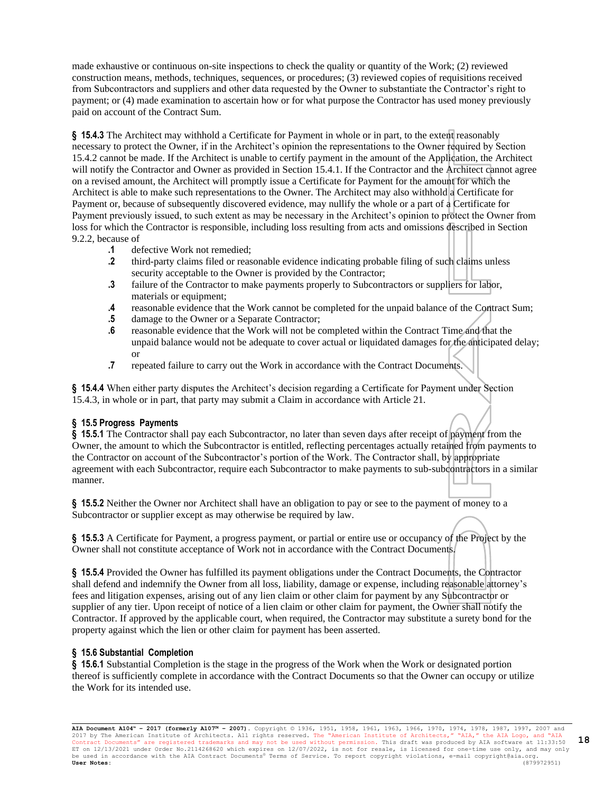made exhaustive or continuous on-site inspections to check the quality or quantity of the Work; (2) reviewed construction means, methods, techniques, sequences, or procedures; (3) reviewed copies of requisitions received from Subcontractors and suppliers and other data requested by the Owner to substantiate the Contractor's right to payment; or (4) made examination to ascertain how or for what purpose the Contractor has used money previously paid on account of the Contract Sum.

**§ 15.4.3** The Architect may withhold a Certificate for Payment in whole or in part, to the extent reasonably necessary to protect the Owner, if in the Architect's opinion the representations to the Owner required by Section 15.4.2 cannot be made. If the Architect is unable to certify payment in the amount of the Application, the Architect will notify the Contractor and Owner as provided in Section 15.4.1. If the Contractor and the Architect cannot agree on a revised amount, the Architect will promptly issue a Certificate for Payment for the amount for which the Architect is able to make such representations to the Owner. The Architect may also withhold a Certificate for Payment or, because of subsequently discovered evidence, may nullify the whole or a part of a Certificate for Payment previously issued, to such extent as may be necessary in the Architect's opinion to protect the Owner from loss for which the Contractor is responsible, including loss resulting from acts and omissions described in Section 9.2.2, because of

- **.1** defective Work not remedied;
- **.2** third-party claims filed or reasonable evidence indicating probable filing of such claims unless security acceptable to the Owner is provided by the Contractor;
- **.3** failure of the Contractor to make payments properly to Subcontractors or suppliers for labor, materials or equipment;
- **.4** reasonable evidence that the Work cannot be completed for the unpaid balance of the Contract Sum;
- **.5** damage to the Owner or a Separate Contractor;
- **.6** reasonable evidence that the Work will not be completed within the Contract Time and that the unpaid balance would not be adequate to cover actual or liquidated damages for the anticipated delay; or
- **.7** repeated failure to carry out the Work in accordance with the Contract Documents.

**§ 15.4.4** When either party disputes the Architect's decision regarding a Certificate for Payment under Section 15.4.3, in whole or in part, that party may submit a Claim in accordance with Article 21.

#### **§ 15.5 Progress Payments**

**§ 15.5.1** The Contractor shall pay each Subcontractor, no later than seven days after receipt of payment from the Owner, the amount to which the Subcontractor is entitled, reflecting percentages actually retained from payments to the Contractor on account of the Subcontractor's portion of the Work. The Contractor shall, by appropriate agreement with each Subcontractor, require each Subcontractor to make payments to sub-subcontractors in a similar manner.

**§ 15.5.2** Neither the Owner nor Architect shall have an obligation to pay or see to the payment of money to a Subcontractor or supplier except as may otherwise be required by law.

**§ 15.5.3** A Certificate for Payment, a progress payment, or partial or entire use or occupancy of the Project by the Owner shall not constitute acceptance of Work not in accordance with the Contract Documents.

**§ 15.5.4** Provided the Owner has fulfilled its payment obligations under the Contract Documents, the Contractor shall defend and indemnify the Owner from all loss, liability, damage or expense, including reasonable attorney's fees and litigation expenses, arising out of any lien claim or other claim for payment by any Subcontractor or supplier of any tier. Upon receipt of notice of a lien claim or other claim for payment, the Owner shall notify the Contractor. If approved by the applicable court, when required, the Contractor may substitute a surety bond for the property against which the lien or other claim for payment has been asserted.

#### **§ 15.6 Substantial Completion**

**§ 15.6.1** Substantial Completion is the stage in the progress of the Work when the Work or designated portion thereof is sufficiently complete in accordance with the Contract Documents so that the Owner can occupy or utilize the Work for its intended use.

**AIA Document A104™ – 2017 (formerly A107™ – 2007).** Copyright © 1936, 1951, 1958, 1961, 1963, 1966, 1970, 1974, 1978, 1987, 1997, 2007 and 2017 by The American Institute of Architects. All rights reserved. The "American Institute of Architects," "AIA," the AIA Logo, and "AIA<br>Contract Documents" are registered trademarks and may not be used without permission. ET on 12/13/2021 under Order No.2114268620 which expires on 12/07/2022, is not for resale, is licensed for one-time use only, and may only<br>be used in accordance with the AIA Contract Documents® Terms of Service. To report **User Notes:** (879972951) **18**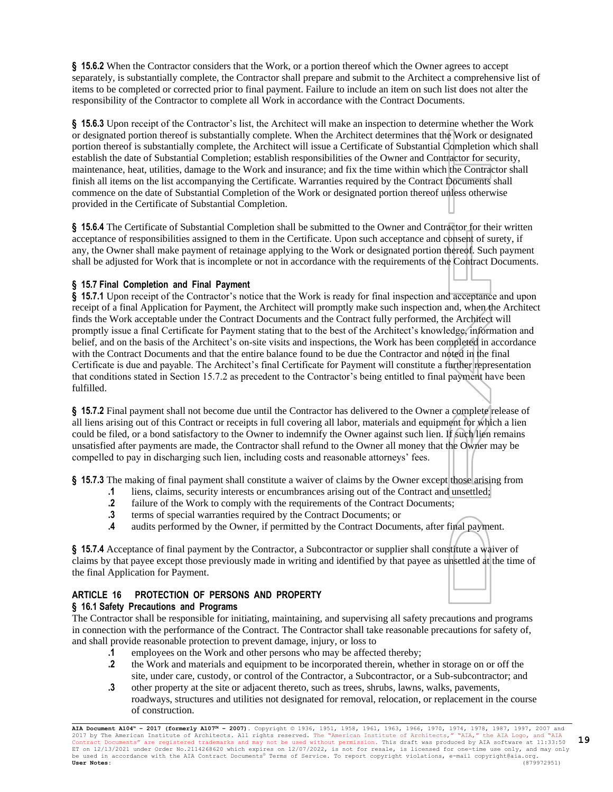**§ 15.6.2** When the Contractor considers that the Work, or a portion thereof which the Owner agrees to accept separately, is substantially complete, the Contractor shall prepare and submit to the Architect a comprehensive list of items to be completed or corrected prior to final payment. Failure to include an item on such list does not alter the responsibility of the Contractor to complete all Work in accordance with the Contract Documents.

**§ 15.6.3** Upon receipt of the Contractor's list, the Architect will make an inspection to determine whether the Work or designated portion thereof is substantially complete. When the Architect determines that the Work or designated portion thereof is substantially complete, the Architect will issue a Certificate of Substantial Completion which shall establish the date of Substantial Completion; establish responsibilities of the Owner and Contractor for security, maintenance, heat, utilities, damage to the Work and insurance; and fix the time within which the Contractor shall finish all items on the list accompanying the Certificate. Warranties required by the Contract Documents shall commence on the date of Substantial Completion of the Work or designated portion thereof unless otherwise provided in the Certificate of Substantial Completion.

**§ 15.6.4** The Certificate of Substantial Completion shall be submitted to the Owner and Contractor for their written acceptance of responsibilities assigned to them in the Certificate. Upon such acceptance and consent of surety, if any, the Owner shall make payment of retainage applying to the Work or designated portion thereof. Such payment shall be adjusted for Work that is incomplete or not in accordance with the requirements of the Contract Documents.

# **§ 15.7 Final Completion and Final Payment**

**§ 15.7.1** Upon receipt of the Contractor's notice that the Work is ready for final inspection and acceptance and upon receipt of a final Application for Payment, the Architect will promptly make such inspection and, when the Architect finds the Work acceptable under the Contract Documents and the Contract fully performed, the Architect will promptly issue a final Certificate for Payment stating that to the best of the Architect's knowledge, information and belief, and on the basis of the Architect's on-site visits and inspections, the Work has been completed in accordance with the Contract Documents and that the entire balance found to be due the Contractor and noted in the final Certificate is due and payable. The Architect's final Certificate for Payment will constitute a further representation that conditions stated in Section 15.7.2 as precedent to the Contractor's being entitled to final payment have been fulfilled.

**§ 15.7.2** Final payment shall not become due until the Contractor has delivered to the Owner a complete release of all liens arising out of this Contract or receipts in full covering all labor, materials and equipment for which a lien could be filed, or a bond satisfactory to the Owner to indemnify the Owner against such lien. If such lien remains unsatisfied after payments are made, the Contractor shall refund to the Owner all money that the Owner may be compelled to pay in discharging such lien, including costs and reasonable attorneys' fees.

**§ 15.7.3** The making of final payment shall constitute a waiver of claims by the Owner except those arising from

- **.1** liens, claims, security interests or encumbrances arising out of the Contract and unsettled;
- **.2** failure of the Work to comply with the requirements of the Contract Documents;
- **.3** terms of special warranties required by the Contract Documents; or
- **.4** audits performed by the Owner, if permitted by the Contract Documents, after final payment.

**§ 15.7.4** Acceptance of final payment by the Contractor, a Subcontractor or supplier shall constitute a waiver of claims by that payee except those previously made in writing and identified by that payee as unsettled at the time of the final Application for Payment.

# **ARTICLE 16 PROTECTION OF PERSONS AND PROPERTY**

# **§ 16.1 Safety Precautions and Programs**

The Contractor shall be responsible for initiating, maintaining, and supervising all safety precautions and programs in connection with the performance of the Contract. The Contractor shall take reasonable precautions for safety of, and shall provide reasonable protection to prevent damage, injury, or loss to

- **.1** employees on the Work and other persons who may be affected thereby;
- **.2** the Work and materials and equipment to be incorporated therein, whether in storage on or off the site, under care, custody, or control of the Contractor, a Subcontractor, or a Sub-subcontractor; and
- **.3** other property at the site or adjacent thereto, such as trees, shrubs, lawns, walks, pavements, roadways, structures and utilities not designated for removal, relocation, or replacement in the course of construction.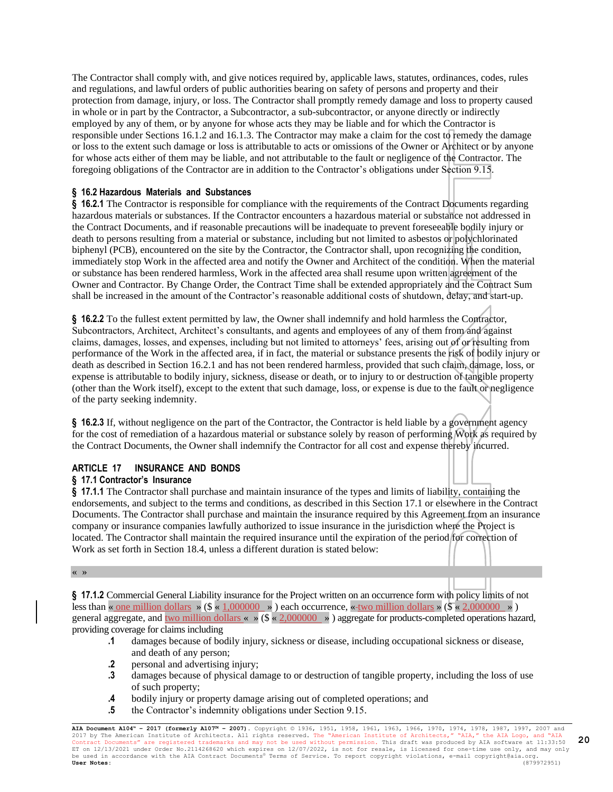The Contractor shall comply with, and give notices required by, applicable laws, statutes, ordinances, codes, rules and regulations, and lawful orders of public authorities bearing on safety of persons and property and their protection from damage, injury, or loss. The Contractor shall promptly remedy damage and loss to property caused in whole or in part by the Contractor, a Subcontractor, a sub-subcontractor, or anyone directly or indirectly employed by any of them, or by anyone for whose acts they may be liable and for which the Contractor is responsible under Sections 16.1.2 and 16.1.3. The Contractor may make a claim for the cost to remedy the damage or loss to the extent such damage or loss is attributable to acts or omissions of the Owner or Architect or by anyone for whose acts either of them may be liable, and not attributable to the fault or negligence of the Contractor. The foregoing obligations of the Contractor are in addition to the Contractor's obligations under Section 9.15.

#### **§ 16.2 Hazardous Materials and Substances**

**§ 16.2.1** The Contractor is responsible for compliance with the requirements of the Contract Documents regarding hazardous materials or substances. If the Contractor encounters a hazardous material or substance not addressed in the Contract Documents, and if reasonable precautions will be inadequate to prevent foreseeable bodily injury or death to persons resulting from a material or substance, including but not limited to asbestos or polychlorinated biphenyl (PCB), encountered on the site by the Contractor, the Contractor shall, upon recognizing the condition, immediately stop Work in the affected area and notify the Owner and Architect of the condition. When the material or substance has been rendered harmless, Work in the affected area shall resume upon written agreement of the Owner and Contractor. By Change Order, the Contract Time shall be extended appropriately and the Contract Sum shall be increased in the amount of the Contractor's reasonable additional costs of shutdown, delay, and start-up.

**§ 16.2.2** To the fullest extent permitted by law, the Owner shall indemnify and hold harmless the Contractor, Subcontractors, Architect, Architect's consultants, and agents and employees of any of them from and against claims, damages, losses, and expenses, including but not limited to attorneys' fees, arising out of or resulting from performance of the Work in the affected area, if in fact, the material or substance presents the risk of bodily injury or death as described in Section 16.2.1 and has not been rendered harmless, provided that such claim, damage, loss, or expense is attributable to bodily injury, sickness, disease or death, or to injury to or destruction of tangible property (other than the Work itself), except to the extent that such damage, loss, or expense is due to the fault or negligence of the party seeking indemnity.

**§ 16.2.3** If, without negligence on the part of the Contractor, the Contractor is held liable by a government agency for the cost of remediation of a hazardous material or substance solely by reason of performing Work as required by the Contract Documents, the Owner shall indemnify the Contractor for all cost and expense thereby incurred.

#### **ARTICLE 17 INSURANCE AND BONDS**

#### **§ 17.1 Contractor's Insurance**

**§ 17.1.1** The Contractor shall purchase and maintain insurance of the types and limits of liability, containing the endorsements, and subject to the terms and conditions, as described in this Section 17.1 or elsewhere in the Contract Documents. The Contractor shall purchase and maintain the insurance required by this Agreement from an insurance company or insurance companies lawfully authorized to issue insurance in the jurisdiction where the Project is located. The Contractor shall maintain the required insurance until the expiration of the period for correction of Work as set forth in Section 18.4, unless a different duration is stated below:

#### « »

**§ 17.1.2** Commercial General Liability insurance for the Project written on an occurrence form with policy limits of not less than « one million dollars » ( $\frac{1}{2}$  « 1,000000 ») each occurrence, «-two million dollars » ( $\frac{1}{2}$  « 2,000000 ») general aggregate, and two million dollars « » (\$ « 2,000000 » ) aggregate for products-completed operations hazard, providing coverage for claims including

- **.1** damages because of bodily injury, sickness or disease, including occupational sickness or disease, and death of any person;
- **.2** personal and advertising injury;
- **.3** damages because of physical damage to or destruction of tangible property, including the loss of use of such property;
- **.4** bodily injury or property damage arising out of completed operations; and
- **.5** the Contractor's indemnity obligations under Section 9.15.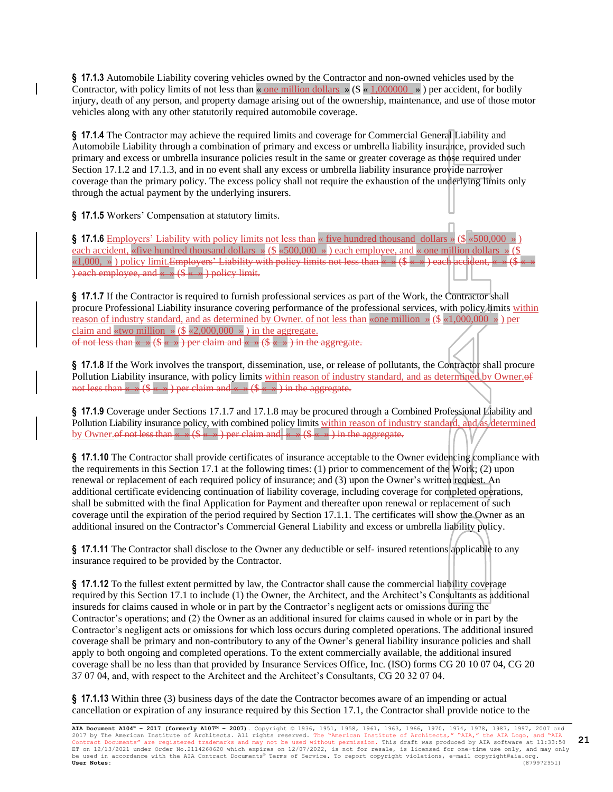**§ 17.1.3** Automobile Liability covering vehicles owned by the Contractor and non-owned vehicles used by the Contractor, with policy limits of not less than « one million dollars » ( $\frac{1}{8}$  « 1,000000 ») per accident, for bodily injury, death of any person, and property damage arising out of the ownership, maintenance, and use of those motor vehicles along with any other statutorily required automobile coverage.

**§ 17.1.4** The Contractor may achieve the required limits and coverage for Commercial General Liability and Automobile Liability through a combination of primary and excess or umbrella liability insurance, provided such primary and excess or umbrella insurance policies result in the same or greater coverage as those required under Section 17.1.2 and 17.1.3, and in no event shall any excess or umbrella liability insurance provide narrower coverage than the primary policy. The excess policy shall not require the exhaustion of the underlying limits only through the actual payment by the underlying insurers.

**§ 17.1.5** Workers' Compensation at statutory limits.

§ **17.1.6** Employers' Liability with policy limits not less than « five hundred thousand dollars » (\$ «500,000 each accident, «five hundred thousand dollars » (\$ «500,000 » ) each employee, and « one million dollars » (\$  $\leq 1,000$ , » ) policy limit. Employers' Liability with policy limits not less than  $\leq \leq \frac{1}{\sqrt{2}}$  each accident, ) each employee, and  $\leftarrow \mathcal{A}$  (\$  $\leftarrow \mathcal{A}$ ) policy limit.

**§ 17.1.7** If the Contractor is required to furnish professional services as part of the Work, the Contractor shall procure Professional Liability insurance covering performance of the professional services, with policy limits within reason of industry standard, and as determined by Owner. of not less than «one million » (\$ «1,000,000 » ) per claim and «two million » ( $\frac{$(0.2,000,000)}{$(0.2,0.00,0.00) $}$ ) in the aggregate. of not less than  $\leftarrow \rightarrow (\$ \leftarrow \rightarrow)$  per claim and  $\leftarrow \rightarrow (\$ \leftarrow \rightarrow)$  in the aggregate.

**§ 17.1.8** If the Work involves the transport, dissemination, use, or release of pollutants, the Contractor shall procure Pollution Liability insurance, with policy limits within reason of industry standard, and as determined by Owner.of not less than  $\leftarrow \rightarrow (\$ \leftarrow \rightarrow)$  per claim and  $\leftarrow \rightarrow (\$ \leftarrow \rightarrow)$  in the aggregate.

**§ 17.1.9** Coverage under Sections 17.1.7 and 17.1.8 may be procured through a Combined Professional Liability and Pollution Liability insurance policy, with combined policy limits within reason of industry standard, and as determined by Owner. of not less than  $\langle \cdot \rangle$   $(\hat{\mathcal{S}} \langle \cdot \rangle)$  per claim and  $\langle \cdot \rangle$   $(\hat{\mathcal{S}} \langle \cdot \rangle)$  in the aggregate.

**§ 17.1.10** The Contractor shall provide certificates of insurance acceptable to the Owner evidencing compliance with the requirements in this Section 17.1 at the following times: (1) prior to commencement of the Work; (2) upon renewal or replacement of each required policy of insurance; and (3) upon the Owner's written request. An additional certificate evidencing continuation of liability coverage, including coverage for completed operations, shall be submitted with the final Application for Payment and thereafter upon renewal or replacement of such coverage until the expiration of the period required by Section 17.1.1. The certificates will show the Owner as an additional insured on the Contractor's Commercial General Liability and excess or umbrella liability policy.

**§ 17.1.11** The Contractor shall disclose to the Owner any deductible or self- insured retentions applicable to any insurance required to be provided by the Contractor.

**§ 17.1.12** To the fullest extent permitted by law, the Contractor shall cause the commercial liability coverage required by this Section 17.1 to include (1) the Owner, the Architect, and the Architect's Consultants as additional insureds for claims caused in whole or in part by the Contractor's negligent acts or omissions during the Contractor's operations; and (2) the Owner as an additional insured for claims caused in whole or in part by the Contractor's negligent acts or omissions for which loss occurs during completed operations. The additional insured coverage shall be primary and non-contributory to any of the Owner's general liability insurance policies and shall apply to both ongoing and completed operations. To the extent commercially available, the additional insured coverage shall be no less than that provided by Insurance Services Office, Inc. (ISO) forms CG 20 10 07 04, CG 20 37 07 04, and, with respect to the Architect and the Architect's Consultants, CG 20 32 07 04.

**§ 17.1.13** Within three (3) business days of the date the Contractor becomes aware of an impending or actual cancellation or expiration of any insurance required by this Section 17.1, the Contractor shall provide notice to the

**AIA Document A104™ – 2017 (formerly A107™ – 2007).** Copyright © 1936, 1951, 1958, 1961, 1963, 1966, 1970, 1974, 1978, 1987, 1997, 2007 and 2017 by The American Institute of Architects. All rights reserved. The "American Institute of Architects," "AIA," the AIA Logo, and "AIA<br>Contract Documents" are registered trademarks and may not be used without permission. Contract Documents" are registered trademarks and may not be used without permission. This draft was produced by AIA software at 11:33:50<br>ET on 12/13/2021 under Order No.2114268620 which expires on 12/07/2022, is not for r be used in accordance with the AIA Contract Documents® Terms of Service. To report copyright violations, e-mail copyright@aia.org.<br>User Notes: (879972951) **User Notes:** (879972951) **21**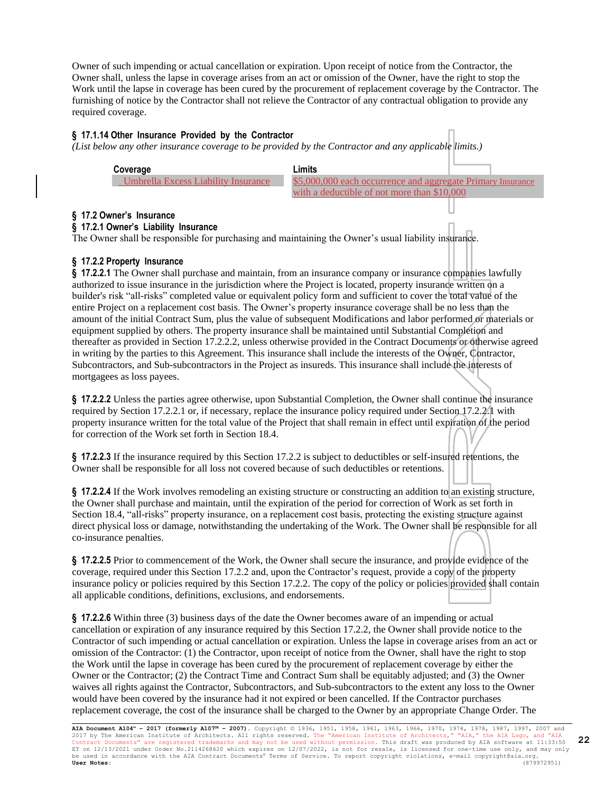Owner of such impending or actual cancellation or expiration. Upon receipt of notice from the Contractor, the Owner shall, unless the lapse in coverage arises from an act or omission of the Owner, have the right to stop the Work until the lapse in coverage has been cured by the procurement of replacement coverage by the Contractor. The furnishing of notice by the Contractor shall not relieve the Contractor of any contractual obligation to provide any required coverage.

#### **§ 17.1.14 Other Insurance Provided by the Contractor**

*(List below any other insurance coverage to be provided by the Contractor and any applicable limits.)*

# **Coverage Limits**

Umbrella Excess Liability Insurance \$5,000,000 each occurrence and aggregate Primary Insurance with a deductible of not more than \$10,000

# **§ 17.2 Owner's Insurance**

**§ 17.2.1 Owner's Liability Insurance**

The Owner shall be responsible for purchasing and maintaining the Owner's usual liability insurance.

#### **§ 17.2.2 Property Insurance**

**§ 17.2.2.1** The Owner shall purchase and maintain, from an insurance company or insurance companies lawfully authorized to issue insurance in the jurisdiction where the Project is located, property insurance written on a builder's risk "all-risks" completed value or equivalent policy form and sufficient to cover the total value of the entire Project on a replacement cost basis. The Owner's property insurance coverage shall be no less than the amount of the initial Contract Sum, plus the value of subsequent Modifications and labor performed or materials or equipment supplied by others. The property insurance shall be maintained until Substantial Completion and thereafter as provided in Section 17.2.2.2, unless otherwise provided in the Contract Documents or otherwise agreed in writing by the parties to this Agreement. This insurance shall include the interests of the Owner, Contractor, Subcontractors, and Sub-subcontractors in the Project as insureds. This insurance shall include the interests of mortgagees as loss payees.

**§ 17.2.2.2** Unless the parties agree otherwise, upon Substantial Completion, the Owner shall continue the insurance required by Section 17.2.2.1 or, if necessary, replace the insurance policy required under Section 17.2.2.1 with property insurance written for the total value of the Project that shall remain in effect until expiration of the period for correction of the Work set forth in Section 18.4.

**§ 17.2.2.3** If the insurance required by this Section 17.2.2 is subject to deductibles or self-insured retentions, the Owner shall be responsible for all loss not covered because of such deductibles or retentions.

**§ 17.2.2.4** If the Work involves remodeling an existing structure or constructing an addition to an existing structure, the Owner shall purchase and maintain, until the expiration of the period for correction of Work as set forth in Section 18.4, "all-risks" property insurance, on a replacement cost basis, protecting the existing structure against direct physical loss or damage, notwithstanding the undertaking of the Work. The Owner shall be responsible for all co-insurance penalties.

**§ 17.2.2.5** Prior to commencement of the Work, the Owner shall secure the insurance, and provide evidence of the coverage, required under this Section 17.2.2 and, upon the Contractor's request, provide a copy of the property insurance policy or policies required by this Section 17.2.2. The copy of the policy or policies provided shall contain all applicable conditions, definitions, exclusions, and endorsements.

**§ 17.2.2.6** Within three (3) business days of the date the Owner becomes aware of an impending or actual cancellation or expiration of any insurance required by this Section 17.2.2, the Owner shall provide notice to the Contractor of such impending or actual cancellation or expiration. Unless the lapse in coverage arises from an act or omission of the Contractor: (1) the Contractor, upon receipt of notice from the Owner, shall have the right to stop the Work until the lapse in coverage has been cured by the procurement of replacement coverage by either the Owner or the Contractor; (2) the Contract Time and Contract Sum shall be equitably adjusted; and (3) the Owner waives all rights against the Contractor, Subcontractors, and Sub-subcontractors to the extent any loss to the Owner would have been covered by the insurance had it not expired or been cancelled. If the Contractor purchases replacement coverage, the cost of the insurance shall be charged to the Owner by an appropriate Change Order. The

**AIA Document A104™ – 2017 (formerly A107™ – 2007).** Copyright © 1936, 1951, 1958, 1961, 1963, 1966, 1970, 1974, 1978, 1987, 1997, 2007 and 2017 by The American Institute of Architects. All rights reserved. The "American Institute of Architects," "AIA," the AIA Logo, and "AIA<br>Contract Documents" are registered trademarks and may not be used without permission. ET on 12/13/2021 under Order No.2114268620 which expires on 12/07/2022, is not for resale, is licensed for one-time use only, and may only<br>be used in accordance with the AIA Contract Documents® Terms of Service. To report **User Notes:** (879972951)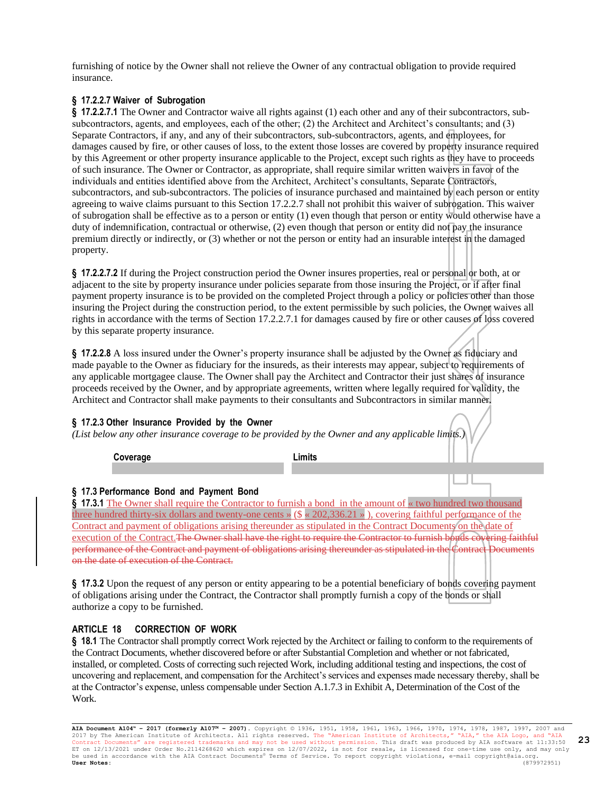furnishing of notice by the Owner shall not relieve the Owner of any contractual obligation to provide required insurance.

#### **§ 17.2.2.7 Waiver of Subrogation**

**§ 17.2.2.7.1** The Owner and Contractor waive all rights against (1) each other and any of their subcontractors, subsubcontractors, agents, and employees, each of the other; (2) the Architect and Architect's consultants; and (3) Separate Contractors, if any, and any of their subcontractors, sub-subcontractors, agents, and employees, for damages caused by fire, or other causes of loss, to the extent those losses are covered by property insurance required by this Agreement or other property insurance applicable to the Project, except such rights as they have to proceeds of such insurance. The Owner or Contractor, as appropriate, shall require similar written waivers in favor of the individuals and entities identified above from the Architect, Architect's consultants, Separate Contractors, subcontractors, and sub-subcontractors. The policies of insurance purchased and maintained by each person or entity agreeing to waive claims pursuant to this Section 17.2.2.7 shall not prohibit this waiver of subrogation. This waiver of subrogation shall be effective as to a person or entity (1) even though that person or entity would otherwise have a duty of indemnification, contractual or otherwise, (2) even though that person or entity did not pay the insurance premium directly or indirectly, or (3) whether or not the person or entity had an insurable interest in the damaged property.

**§ 17.2.2.7.2** If during the Project construction period the Owner insures properties, real or personal or both, at or adjacent to the site by property insurance under policies separate from those insuring the Project, or if after final payment property insurance is to be provided on the completed Project through a policy or policies other than those insuring the Project during the construction period, to the extent permissible by such policies, the Owner waives all rights in accordance with the terms of Section 17.2.2.7.1 for damages caused by fire or other causes of loss covered by this separate property insurance.

**§ 17.2.2.8** A loss insured under the Owner's property insurance shall be adjusted by the Owner as fiduciary and made payable to the Owner as fiduciary for the insureds, as their interests may appear, subject to requirements of any applicable mortgagee clause. The Owner shall pay the Architect and Contractor their just shares of insurance proceeds received by the Owner, and by appropriate agreements, written where legally required for validity, the Architect and Contractor shall make payments to their consultants and Subcontractors in similar manner.

#### **§ 17.2.3 Other Insurance Provided by the Owner**

*(List below any other insurance coverage to be provided by the Owner and any applicable limits.)*

**Coverage Limits**

#### **§ 17.3 Performance Bond and Payment Bond**

**§ 17.3.1** The Owner shall require the Contractor to furnish a bond in the amount of « two hundred two thousand three hundred thirty-six dollars and twenty-one cents » ( $\frac{1}{8} \times 202.336.21$  »), covering faithful performance of the Contract and payment of obligations arising thereunder as stipulated in the Contract Documents on the date of execution of the Contract.The Owner shall have the right to require the Contractor to furnish bonds covering faithful performance of the Contract and payment of obligations arising thereunder as stipulated in the Contract Documents on the date of execution of the Contract.

**§ 17.3.2** Upon the request of any person or entity appearing to be a potential beneficiary of bonds covering payment of obligations arising under the Contract, the Contractor shall promptly furnish a copy of the bonds or shall authorize a copy to be furnished.

# **ARTICLE 18 CORRECTION OF WORK**

**§ 18.1** The Contractor shall promptly correct Work rejected by the Architect or failing to conform to the requirements of the Contract Documents, whether discovered before or after Substantial Completion and whether or not fabricated, installed, or completed. Costs of correcting such rejected Work, including additional testing and inspections, the cost of uncovering and replacement, and compensation for the Architect's services and expenses made necessary thereby, shall be at the Contractor's expense, unless compensable under Section A.1.7.3 in Exhibit A, Determination of the Cost of the Work.

**AIA Document A104™ – 2017 (formerly A107™ – 2007).** Copyright © 1936, 1951, 1958, 1961, 1963, 1966, 1970, 1974, 1978, 1987, 1997, 2007 and 2017 by The American Institute of Architects. All rights reserved. The "American Institute of Architects," "AIA," the AIA Logo, and "AIA<br>Contract Documents" are registered trademarks and may not be used without permission. Contract Documents" are registered trademarks and may not be used without permission. This draft was produced by AIA software at 11:33:50<br>ET on 12/13/2021 under Order No.2114268620 which expires on 12/07/2022, is not for r be used in accordance with the AIA Contract Documents® Terms of Service. To report copyright violations, e-mail copyright@aia.org.<br> **User Notes:** (879972951) **User Notes:** (879972951) **23**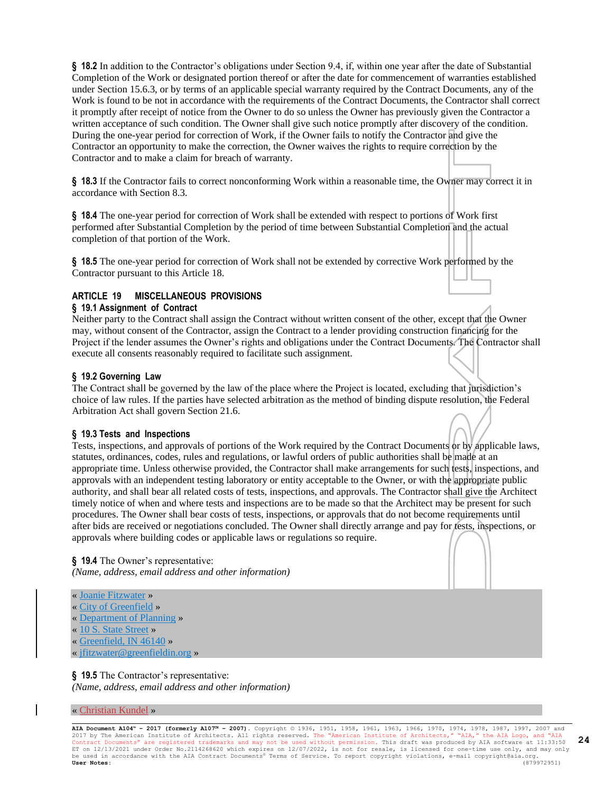**§ 18.2** In addition to the Contractor's obligations under Section 9.4, if, within one year after the date of Substantial Completion of the Work or designated portion thereof or after the date for commencement of warranties established under Section 15.6.3, or by terms of an applicable special warranty required by the Contract Documents, any of the Work is found to be not in accordance with the requirements of the Contract Documents, the Contractor shall correct it promptly after receipt of notice from the Owner to do so unless the Owner has previously given the Contractor a written acceptance of such condition. The Owner shall give such notice promptly after discovery of the condition. During the one-year period for correction of Work, if the Owner fails to notify the Contractor and give the Contractor an opportunity to make the correction, the Owner waives the rights to require correction by the Contractor and to make a claim for breach of warranty.

**§ 18.3** If the Contractor fails to correct nonconforming Work within a reasonable time, the Owner may correct it in accordance with Section 8.3.

**§ 18.4** The one-year period for correction of Work shall be extended with respect to portions of Work first performed after Substantial Completion by the period of time between Substantial Completion and the actual completion of that portion of the Work.

**§ 18.5** The one-year period for correction of Work shall not be extended by corrective Work performed by the Contractor pursuant to this Article 18.

#### **ARTICLE 19 MISCELLANEOUS PROVISIONS**

#### **§ 19.1 Assignment of Contract**

Neither party to the Contract shall assign the Contract without written consent of the other, except that the Owner may, without consent of the Contractor, assign the Contract to a lender providing construction financing for the Project if the lender assumes the Owner's rights and obligations under the Contract Documents. The Contractor shall execute all consents reasonably required to facilitate such assignment.

#### **§ 19.2 Governing Law**

The Contract shall be governed by the law of the place where the Project is located, excluding that jurisdiction's choice of law rules. If the parties have selected arbitration as the method of binding dispute resolution, the Federal Arbitration Act shall govern Section 21.6.

#### **§ 19.3 Tests and Inspections**

Tests, inspections, and approvals of portions of the Work required by the Contract Documents or by applicable laws, statutes, ordinances, codes, rules and regulations, or lawful orders of public authorities shall be made at an appropriate time. Unless otherwise provided, the Contractor shall make arrangements for such tests, inspections, and approvals with an independent testing laboratory or entity acceptable to the Owner, or with the appropriate public authority, and shall bear all related costs of tests, inspections, and approvals. The Contractor shall give the Architect timely notice of when and where tests and inspections are to be made so that the Architect may be present for such procedures. The Owner shall bear costs of tests, inspections, or approvals that do not become requirements until after bids are received or negotiations concluded. The Owner shall directly arrange and pay for tests, inspections, or approvals where building codes or applicable laws or regulations so require.

**§ 19.4** The Owner's representative: *(Name, address, email address and other information)*

- « Joanie Fitzwater »
- « City of Greenfield »
- « Department of Planning »
- « 10 S. State Street »
- « Greenfield, IN 46140 »

« jfitzwater@greenfieldin.org »

#### **§ 19.5** The Contractor's representative:

*(Name, address, email address and other information)*

#### « Christian Kundel »

**AIA Document A104™ – 2017 (formerly A107™ – 2007).** Copyright © 1936, 1951, 1958, 1961, 1963, 1966, 1970, 1974, 1978, 1987, 1997, 2007 and 2017 by The American Institute of Architects. All rights reserved. The "American Institute of Architects," "AIA," the AIA Logo, and "AIA<br>Contract Documents" are registered trademarks and may not be used without permission. Contract Documents" are registered trademarks and may not be used without permission. This draft was produced by AIA software at 11:33:50<br>ET on 12/13/2021 under Order No.2114268620 which expires on 12/07/2022, is not for r be used in accordance with the AIA Contract Documents® Terms of Service. To report copyright violations, e-mail copyright@aia.org.<br> **User Notes:** (879972951) **User Notes:** (879972951) **24**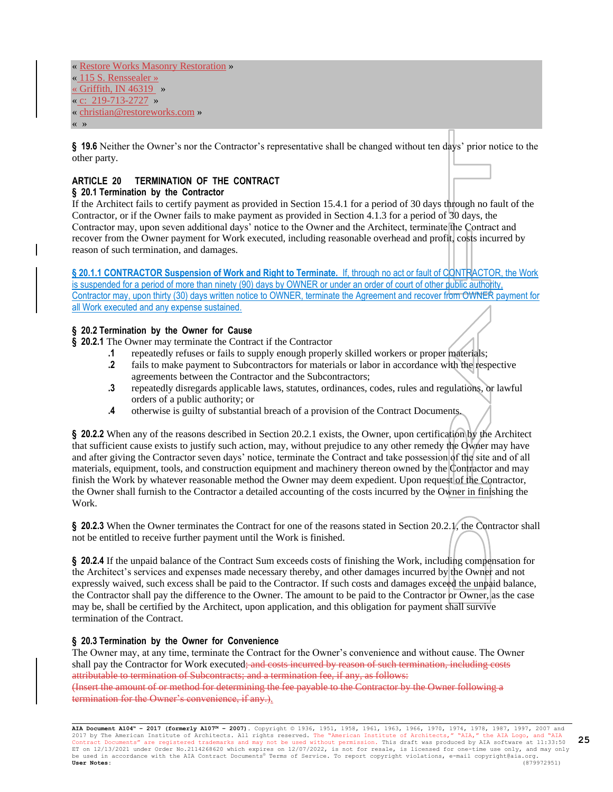```
« Restore Works Masonry Restoration »
« 115 S. Renssealer »
« Griffith, IN 46319 »
« c: 219-713-2727 »
« christian@restoreworks.com »
« »
```
**§ 19.6** Neither the Owner's nor the Contractor's representative shall be changed without ten days' prior notice to the other party.

# **ARTICLE 20 TERMINATION OF THE CONTRACT**

**§ 20.1 Termination by the Contractor**

If the Architect fails to certify payment as provided in Section 15.4.1 for a period of 30 days through no fault of the Contractor, or if the Owner fails to make payment as provided in Section 4.1.3 for a period of 30 days, the Contractor may, upon seven additional days' notice to the Owner and the Architect, terminate the Contract and recover from the Owner payment for Work executed, including reasonable overhead and profit, costs incurred by reason of such termination, and damages.

**§ 20.1.1 CONTRACTOR Suspension of Work and Right to Terminate.** If, through no act or fault of CONTRACTOR, the Work is suspended for a period of more than ninety (90) days by OWNER or under an order of court of other public authority, Contractor may, upon thirty (30) days written notice to OWNER, terminate the Agreement and recover from OWNER payment for all Work executed and any expense sustained.

#### **§ 20.2 Termination by the Owner for Cause**

**§ 20.2.1** The Owner may terminate the Contract if the Contractor

- **.1** repeatedly refuses or fails to supply enough properly skilled workers or proper materials;
- **.2** fails to make payment to Subcontractors for materials or labor in accordance with the respective agreements between the Contractor and the Subcontractors;
- **.3** repeatedly disregards applicable laws, statutes, ordinances, codes, rules and regulations, or lawful orders of a public authority; or
- **.4** otherwise is guilty of substantial breach of a provision of the Contract Documents.

**§ 20.2.2** When any of the reasons described in Section 20.2.1 exists, the Owner, upon certification by the Architect that sufficient cause exists to justify such action, may, without prejudice to any other remedy the Owner may have and after giving the Contractor seven days' notice, terminate the Contract and take possession of the site and of all materials, equipment, tools, and construction equipment and machinery thereon owned by the Contractor and may finish the Work by whatever reasonable method the Owner may deem expedient. Upon request of the Contractor, the Owner shall furnish to the Contractor a detailed accounting of the costs incurred by the Owner in finishing the Work.

**§ 20.2.3** When the Owner terminates the Contract for one of the reasons stated in Section 20.2.1, the Contractor shall not be entitled to receive further payment until the Work is finished.

**§ 20.2.4** If the unpaid balance of the Contract Sum exceeds costs of finishing the Work, including compensation for the Architect's services and expenses made necessary thereby, and other damages incurred by the Owner and not expressly waived, such excess shall be paid to the Contractor. If such costs and damages exceed the unpaid balance, the Contractor shall pay the difference to the Owner. The amount to be paid to the Contractor or Owner, as the case may be, shall be certified by the Architect, upon application, and this obligation for payment shall survive termination of the Contract.

#### **§ 20.3 Termination by the Owner for Convenience**

The Owner may, at any time, terminate the Contract for the Owner's convenience and without cause. The Owner shall pay the Contractor for Work executed; and costs incurred by reason of such termination, including costs attributable to termination of Subcontracts; and a termination fee, if any, as follows:

(Insert the amount of or method for determining the fee payable to the Contractor by the Owner following a termination for the Owner's convenience, if any.).

**AIA Document A104™ – 2017 (formerly A107™ – 2007).** Copyright © 1936, 1951, 1958, 1961, 1963, 1966, 1970, 1974, 1978, 1987, 1997, 2007 and 2017 by The American Institute of Architects. All rights reserved. The "American Institute of Architects," "AIA," the AIA Logo, and "AIA<br>Contract Documents" are registered trademarks and may not be used without permission. Contract Documents" are registered trademarks and may not be used without permission. This draft was produced by AIA software at 11:33:50<br>ET on 12/13/2021 under Order No.2114268620 which expires on 12/07/2022, is not for r be used in accordance with the AIA Contract Documents® Terms of Service. To report copyright violations, e-mail copyright@aia.org.<br>User Notes: (879972951) **User Notes:** (879972951)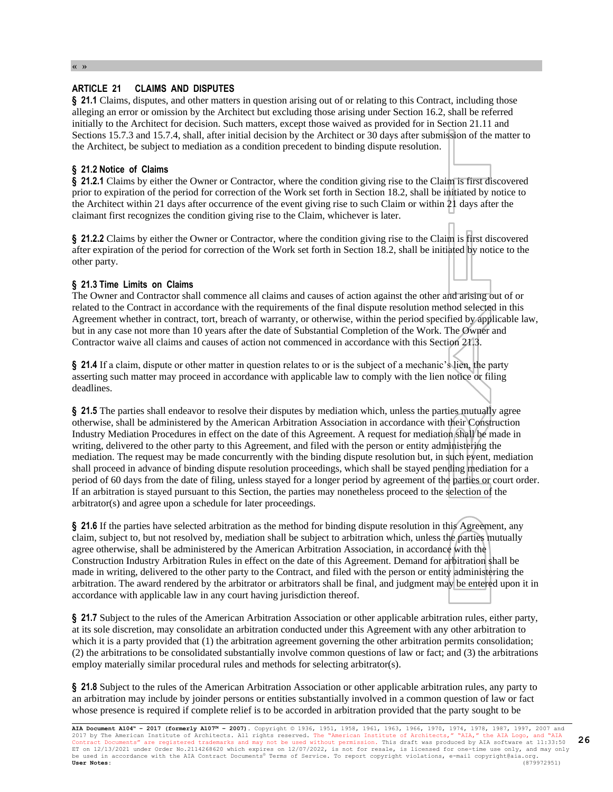#### **ARTICLE 21 CLAIMS AND DISPUTES**

**§ 21.1** Claims, disputes, and other matters in question arising out of or relating to this Contract, including those alleging an error or omission by the Architect but excluding those arising under Section 16.2, shall be referred initially to the Architect for decision. Such matters, except those waived as provided for in Section 21.11 and Sections 15.7.3 and 15.7.4, shall, after initial decision by the Architect or 30 days after submission of the matter to the Architect, be subject to mediation as a condition precedent to binding dispute resolution.

# **§ 21.2 Notice of Claims**

**§ 21.2.1** Claims by either the Owner or Contractor, where the condition giving rise to the Claim is first discovered prior to expiration of the period for correction of the Work set forth in Section 18.2, shall be initiated by notice to the Architect within 21 days after occurrence of the event giving rise to such Claim or within 21 days after the claimant first recognizes the condition giving rise to the Claim, whichever is later.

**§ 21.2.2** Claims by either the Owner or Contractor, where the condition giving rise to the Claim is first discovered after expiration of the period for correction of the Work set forth in Section 18.2, shall be initiated by notice to the other party.

# **§ 21.3 Time Limits on Claims**

The Owner and Contractor shall commence all claims and causes of action against the other and arising out of or related to the Contract in accordance with the requirements of the final dispute resolution method selected in this Agreement whether in contract, tort, breach of warranty, or otherwise, within the period specified by applicable law, but in any case not more than 10 years after the date of Substantial Completion of the Work. The Owner and Contractor waive all claims and causes of action not commenced in accordance with this Section 21.3.

**§ 21.4** If a claim, dispute or other matter in question relates to or is the subject of a mechanic's lien, the party asserting such matter may proceed in accordance with applicable law to comply with the lien notice or filing deadlines.

**§ 21.5** The parties shall endeavor to resolve their disputes by mediation which, unless the parties mutually agree otherwise, shall be administered by the American Arbitration Association in accordance with their Construction Industry Mediation Procedures in effect on the date of this Agreement. A request for mediation shall be made in writing, delivered to the other party to this Agreement, and filed with the person or entity administering the mediation. The request may be made concurrently with the binding dispute resolution but, in such event, mediation shall proceed in advance of binding dispute resolution proceedings, which shall be stayed pending mediation for a period of 60 days from the date of filing, unless stayed for a longer period by agreement of the parties or court order. If an arbitration is stayed pursuant to this Section, the parties may nonetheless proceed to the selection of the arbitrator(s) and agree upon a schedule for later proceedings.

**§ 21.6** If the parties have selected arbitration as the method for binding dispute resolution in this Agreement, any claim, subject to, but not resolved by, mediation shall be subject to arbitration which, unless the parties mutually agree otherwise, shall be administered by the American Arbitration Association, in accordance with the Construction Industry Arbitration Rules in effect on the date of this Agreement. Demand for arbitration shall be made in writing, delivered to the other party to the Contract, and filed with the person or entity administering the arbitration. The award rendered by the arbitrator or arbitrators shall be final, and judgment may be entered upon it in accordance with applicable law in any court having jurisdiction thereof.

**§ 21.7** Subject to the rules of the American Arbitration Association or other applicable arbitration rules, either party, at its sole discretion, may consolidate an arbitration conducted under this Agreement with any other arbitration to which it is a party provided that (1) the arbitration agreement governing the other arbitration permits consolidation; (2) the arbitrations to be consolidated substantially involve common questions of law or fact; and (3) the arbitrations employ materially similar procedural rules and methods for selecting arbitrator(s).

**§ 21.8** Subject to the rules of the American Arbitration Association or other applicable arbitration rules, any party to an arbitration may include by joinder persons or entities substantially involved in a common question of law or fact whose presence is required if complete relief is to be accorded in arbitration provided that the party sought to be